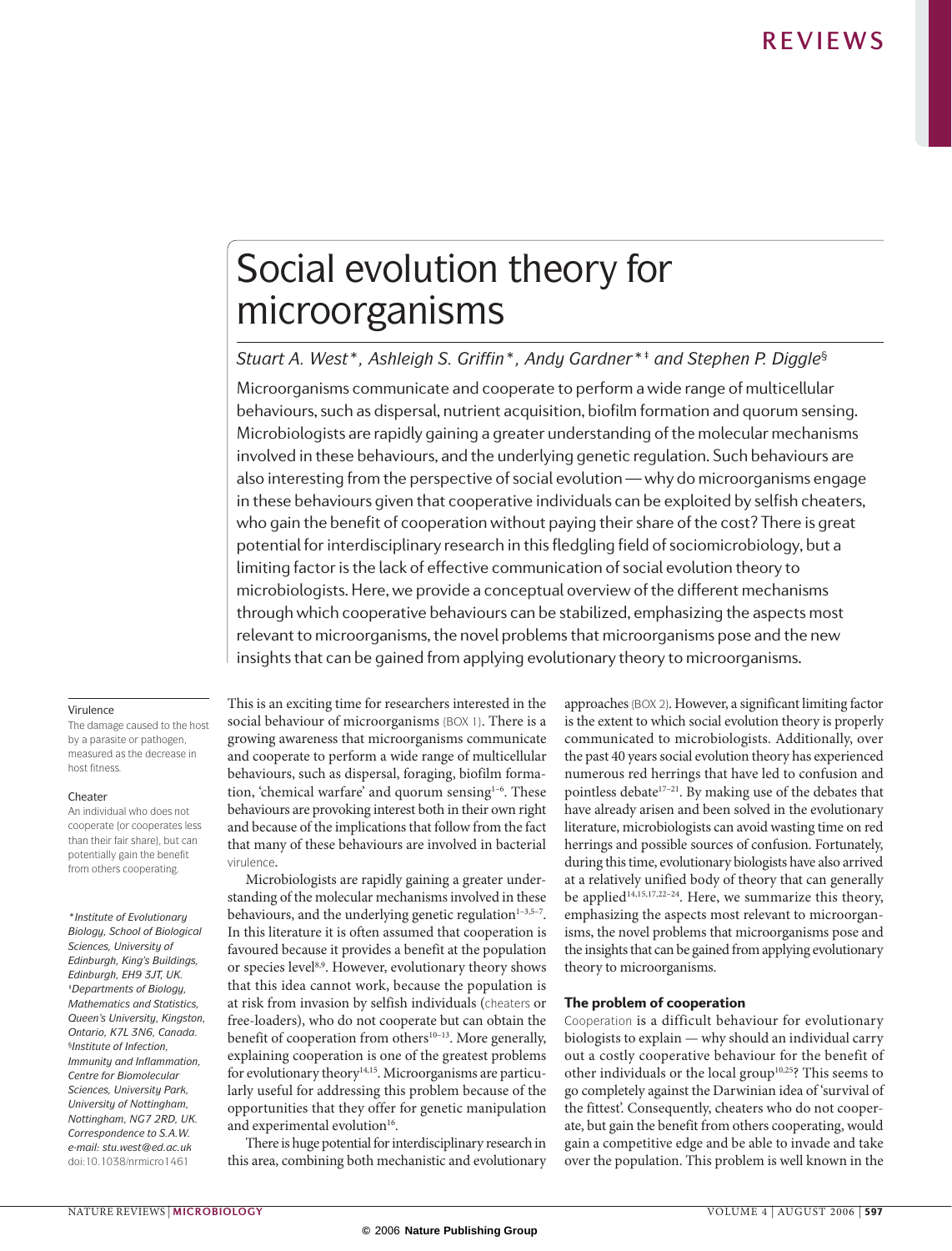# Social evolution theory for microorganisms

### *Stuart A. West\*, Ashleigh S. Griffin\*, Andy Gardner\*‡ and Stephen P. Diggle§*

Microorganisms communicate and cooperate to perform a wide range of multicellular behaviours, such as dispersal, nutrient acquisition, biofilm formation and quorum sensing. Microbiologists are rapidly gaining a greater understanding of the molecular mechanisms involved in these behaviours, and the underlying genetic regulation. Such behaviours are also interesting from the perspective of social evolution — why do microorganisms engage in these behaviours given that cooperative individuals can be exploited by selfish cheaters, who gain the benefit of cooperation without paying their share of the cost? There is great potential for interdisciplinary research in this fledgling field of sociomicrobiology, but a limiting factor is the lack of effective communication of social evolution theory to microbiologists. Here, we provide a conceptual overview of the different mechanisms through which cooperative behaviours can be stabilized, emphasizing the aspects most relevant to microorganisms, the novel problems that microorganisms pose and the new insights that can be gained from applying evolutionary theory to microorganisms.

### Virulence

The damage caused to the host by a parasite or pathogen, measured as the decrease in host fitness.

#### Cheater

An individual who does not cooperate (or cooperates less than their fair share), but can potentially gain the benefit from others cooperating.

*\*Institute of Evolutionary Biology, School of Biological Sciences, University of Edinburgh, King's Buildings, Edinburgh, EH9 3JT, UK. ‡Departments of Biology, Mathematics and Statistics, Queen's University, Kingston, Ontario, K7L 3N6, Canada. §Institute of Infection, Immunity and Inflammation, Centre for Biomolecular Sciences, University Park, University of Nottingham, Nottingham, NG7 2RD, UK. Correspondence to S.A.W. e-mail: stu.west@ed.ac.uk* doi:10.1038/nrmicro1461

This is an exciting time for researchers interested in the social behaviour of microorganisms (BOX 1). There is a growing awareness that microorganisms communicate and cooperate to perform a wide range of multicellular behaviours, such as dispersal, foraging, biofilm formation, 'chemical warfare' and quorum sensing<sup>1-6</sup>. These behaviours are provoking interest both in their own right and because of the implications that follow from the fact that many of these behaviours are involved in bacterial virulence.

Microbiologists are rapidly gaining a greater understanding of the molecular mechanisms involved in these behaviours, and the underlying genetic regulation $1-3,5-7$ . In this literature it is often assumed that cooperation is favoured because it provides a benefit at the population or species level<sup>8,9</sup>. However, evolutionary theory shows that this idea cannot work, because the population is at risk from invasion by selfish individuals (cheaters or free-loaders), who do not cooperate but can obtain the benefit of cooperation from others<sup>10–13</sup>. More generally, explaining cooperation is one of the greatest problems for evolutionary theory<sup>14,15</sup>. Microorganisms are particularly useful for addressing this problem because of the opportunities that they offer for genetic manipulation and experimental evolution<sup>16</sup>.

There is huge potential for interdisciplinary research in this area, combining both mechanistic and evolutionary approaches (BOX 2). However, a significant limiting factor is the extent to which social evolution theory is properly communicated to microbiologists. Additionally, over the past 40 years social evolution theory has experienced numerous red herrings that have led to confusion and pointless debate17–21. By making use of the debates that have already arisen and been solved in the evolutionary literature, microbiologists can avoid wasting time on red herrings and possible sources of confusion. Fortunately, during this time, evolutionary biologists have also arrived at a relatively unified body of theory that can generally be applied<sup>14,15,17,22-24</sup>. Here, we summarize this theory, emphasizing the aspects most relevant to microorganisms, the novel problems that microorganisms pose and the insights that can be gained from applying evolutionary theory to microorganisms.

### The problem of cooperation

Cooperation is a difficult behaviour for evolutionary biologists to explain — why should an individual carry out a costly cooperative behaviour for the benefit of other individuals or the local group<sup>10,25</sup>? This seems to go completely against the Darwinian idea of 'survival of the fittest'. Consequently, cheaters who do not cooperate, but gain the benefit from others cooperating, would gain a competitive edge and be able to invade and take over the population. This problem is well known in the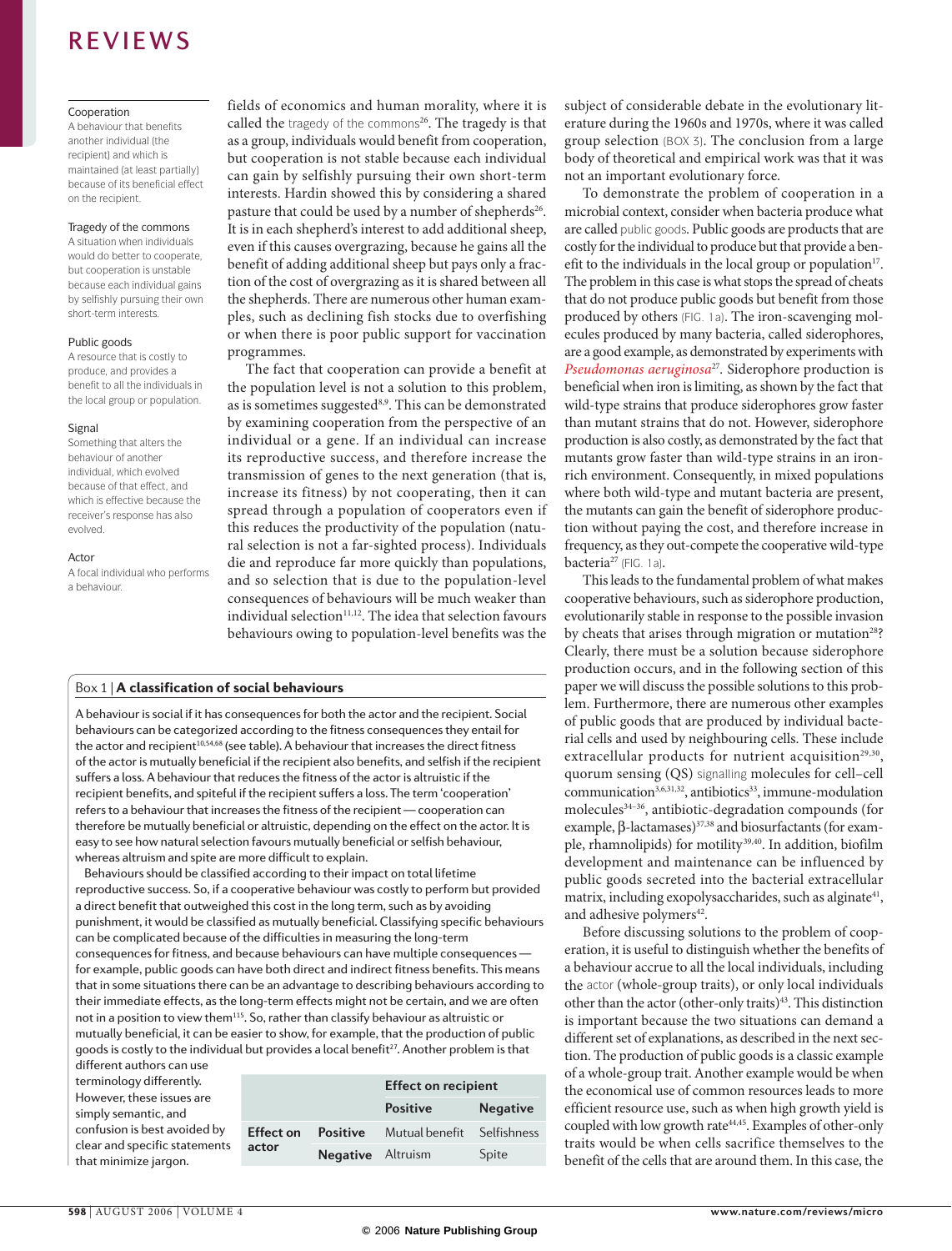### Cooperation

A behaviour that benefits another individual (the recipient) and which is maintained (at least partially) because of its beneficial effect on the recipient.

### Tragedy of the commons

A situation when individuals would do better to cooperate but cooperation is unstable because each individual gains by selfishly pursuing their own short-term interests.

### Public goods

A resource that is costly to produce, and provides a benefit to all the individuals in the local group or population.

### Signal

Something that alters the behaviour of another individual, which evolved because of that effect, and which is effective because the receiver's response has also evolved.

### Actor

A focal individual who performs a behaviour.

fields of economics and human morality, where it is called the tragedy of the commons<sup>26</sup>. The tragedy is that as a group, individuals would benefit from cooperation, but cooperation is not stable because each individual can gain by selfishly pursuing their own short-term interests. Hardin showed this by considering a shared pasture that could be used by a number of shepherds<sup>26</sup>. It is in each shepherd's interest to add additional sheep, even if this causes overgrazing, because he gains all the benefit of adding additional sheep but pays only a fraction of the cost of overgrazing as it is shared between all the shepherds. There are numerous other human examples, such as declining fish stocks due to overfishing or when there is poor public support for vaccination programmes.

The fact that cooperation can provide a benefit at the population level is not a solution to this problem, as is sometimes suggested<sup>8,9</sup>. This can be demonstrated by examining cooperation from the perspective of an individual or a gene. If an individual can increase its reproductive success, and therefore increase the transmission of genes to the next generation (that is, increase its fitness) by not cooperating, then it can spread through a population of cooperators even if this reduces the productivity of the population (natural selection is not a far-sighted process). Individuals die and reproduce far more quickly than populations, and so selection that is due to the population-level consequences of behaviours will be much weaker than individual selection<sup>11,12</sup>. The idea that selection favours behaviours owing to population-level benefits was the

### Box 1 | A classification of social behaviours

A behaviour is social if it has consequences for both the actor and the recipient. Social behaviours can be categorized according to the fitness consequences they entail for the actor and recipient<sup>10,54,68</sup> (see table). A behaviour that increases the direct fitness of the actor is mutually beneficial if the recipient also benefits, and selfish if the recipient suffers a loss. A behaviour that reduces the fitness of the actor is altruistic if the recipient benefits, and spiteful if the recipient suffers a loss. The term 'cooperation' refers to a behaviour that increases the fitness of the recipient — cooperation can therefore be mutually beneficial or altruistic, depending on the effect on the actor. It is easy to see how natural selection favours mutually beneficial or selfish behaviour, whereas altruism and spite are more difficult to explain.

Behaviours should be classified according to their impact on total lifetime reproductive success. So, if a cooperative behaviour was costly to perform but provided a direct benefit that outweighed this cost in the long term, such as by avoiding punishment, it would be classified as mutually beneficial. Classifying specific behaviours can be complicated because of the difficulties in measuring the long-term consequences for fitness, and because behaviours can have multiple consequences for example, public goods can have both direct and indirect fitness benefits. This means that in some situations there can be an advantage to describing behaviours according to their immediate effects, as the long-term effects might not be certain, and we are often not in a position to view them<sup>115</sup>. So, rather than classify behaviour as altruistic or mutually beneficial, it can be easier to show, for example, that the production of public goods is costly to the individual but provides a local benefit<sup>27</sup>. Another problem is that

different authors can use terminology differently. However, these issues are simply semantic, and confusion is best avoided b clear and specific statemer that minimize jargon.

|          |                           | <b>Effect on recipient</b> |                            |                 |
|----------|---------------------------|----------------------------|----------------------------|-----------------|
|          |                           |                            | <b>Positive</b>            | <b>Negative</b> |
| у<br>ıts | <b>Effect on</b><br>actor | <b>Positive</b>            | Mutual benefit Selfishness |                 |
|          |                           | <b>Negative</b> Altruism   |                            | Spite           |

subject of considerable debate in the evolutionary literature during the 1960s and 1970s, where it was called group selection (BOX 3). The conclusion from a large body of theoretical and empirical work was that it was not an important evolutionary force.

To demonstrate the problem of cooperation in a microbial context, consider when bacteria produce what are called public goods. Public goods are products that are costly for the individual to produce but that provide a benefit to the individuals in the local group or population<sup>17</sup>. The problem in this case is what stops the spread of cheats that do not produce public goods but benefit from those produced by others (FIG. 1a). The iron-scavenging molecules produced by many bacteria, called siderophores, are a good example, as demonstrated by experiments with *Pseudomonas aeruginosa<sup>27</sup>.* Siderophore production is beneficial when iron is limiting, as shown by the fact that wild-type strains that produce siderophores grow faster than mutant strains that do not. However, siderophore production is also costly, as demonstrated by the fact that mutants grow faster than wild-type strains in an ironrich environment. Consequently, in mixed populations where both wild-type and mutant bacteria are present, the mutants can gain the benefit of siderophore production without paying the cost, and therefore increase in frequency, as they out-compete the cooperative wild-type bacteria<sup>27</sup> (FIG. 1a).

This leads to the fundamental problem of what makes cooperative behaviours, such as siderophore production, evolutionarily stable in response to the possible invasion by cheats that arises through migration or mutation<sup>28</sup>? Clearly, there must be a solution because siderophore production occurs, and in the following section of this paper we will discuss the possible solutions to this problem. Furthermore, there are numerous other examples of public goods that are produced by individual bacterial cells and used by neighbouring cells. These include extracellular products for nutrient acquisition<sup>29,30</sup>, quorum sensing (QS) signalling molecules for cell–cell communication<sup>3,6,31,32</sup>, antibiotics<sup>33</sup>, immune-modulation molecules34–36, antibiotic-degradation compounds (for example, β-lactamases)<sup>37,38</sup> and biosurfactants (for example, rhamnolipids) for motility<sup>39,40</sup>. In addition, biofilm development and maintenance can be influenced by public goods secreted into the bacterial extracellular matrix, including exopolysaccharides, such as alginate<sup>41</sup>, and adhesive polymers<sup>42</sup>.

Before discussing solutions to the problem of cooperation, it is useful to distinguish whether the benefits of a behaviour accrue to all the local individuals, including the actor (whole-group traits), or only local individuals other than the actor (other-only traits)<sup>43</sup>. This distinction is important because the two situations can demand a different set of explanations, as described in the next section. The production of public goods is a classic example of a whole-group trait. Another example would be when the economical use of common resources leads to more efficient resource use, such as when high growth yield is coupled with low growth rate<sup>44,45</sup>. Examples of other-only traits would be when cells sacrifice themselves to the benefit of the cells that are around them. In this case, the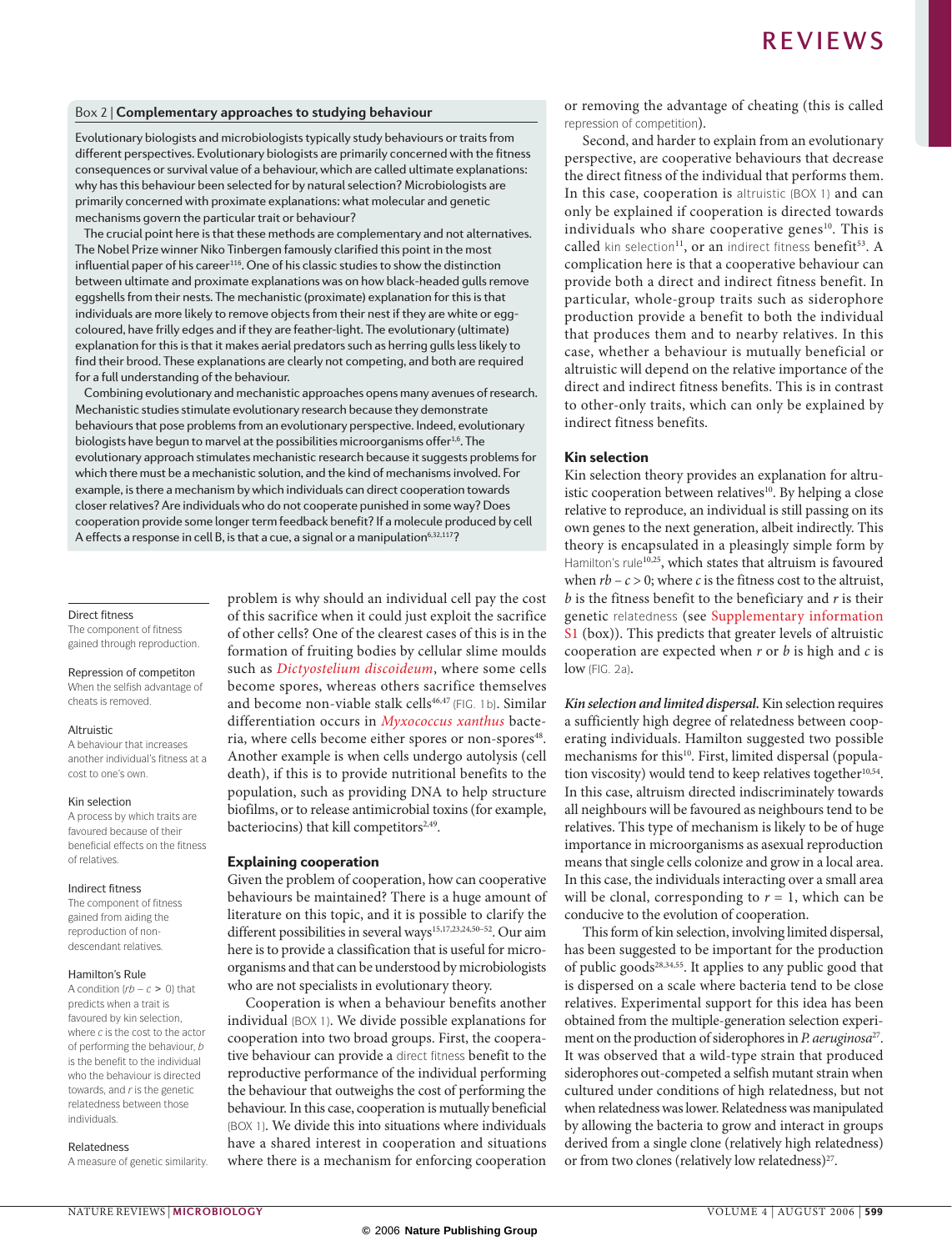### Box 2 | **Complementary approaches to studying behaviour**

Evolutionary biologists and microbiologists typically study behaviours or traits from different perspectives. Evolutionary biologists are primarily concerned with the fitness consequences or survival value of a behaviour, which are called ultimate explanations: why has this behaviour been selected for by natural selection? Microbiologists are primarily concerned with proximate explanations: what molecular and genetic mechanisms govern the particular trait or behaviour?

The crucial point here is that these methods are complementary and not alternatives. The Nobel Prize winner Niko Tinbergen famously clarified this point in the most influential paper of his career<sup>116</sup>. One of his classic studies to show the distinction between ultimate and proximate explanations was on how black-headed gulls remove eggshells from their nests. The mechanistic (proximate) explanation for this is that individuals are more likely to remove objects from their nest if they are white or eggcoloured, have frilly edges and if they are feather-light. The evolutionary (ultimate) explanation for this is that it makes aerial predators such as herring gulls less likely to find their brood. These explanations are clearly not competing, and both are required for a full understanding of the behaviour.

Combining evolutionary and mechanistic approaches opens many avenues of research. Mechanistic studies stimulate evolutionary research because they demonstrate behaviours that pose problems from an evolutionary perspective. Indeed, evolutionary biologists have begun to marvel at the possibilities microorganisms offer<sup>1,6</sup>. The evolutionary approach stimulates mechanistic research because it suggests problems for which there must be a mechanistic solution, and the kind of mechanisms involved. For example, is there a mechanism by which individuals can direct cooperation towards closer relatives? Are individuals who do not cooperate punished in some way? Does cooperation provide some longer term feedback benefit? If a molecule produced by cell A effects a response in cell B, is that a cue, a signal or a manipulation $6,32,117$ ?

### Direct fitness

The component of fitness gained through reproduction.

Repression of competiton

When the selfish advantage of cheats is removed.

### Altruistic

A behaviour that increases another individual's fitness at a cost to one's own.

#### Kin selection

A process by which traits are favoured because of their beneficial effects on the fitness of relatives.

### Indirect fitness

The component of fitness gained from aiding the reproduction of nondescendant relatives.

#### Hamilton's Rule

A condition  $(rb - c > 0)$  that predicts when a trait is favoured by kin selection, where *c* is the cost to the actor of performing the behaviour, *b*  is the benefit to the individual who the behaviour is directed towards, and *r* is the genetic relatedness between those individuals.

### Relatedness

A measure of genetic similarity.

problem is why should an individual cell pay the cost of this sacrifice when it could just exploit the sacrifice of other cells? One of the clearest cases of this is in the formation of fruiting bodies by cellular slime moulds such as *Dictyostelium discoideum*, where some cells become spores, whereas others sacrifice themselves and become non-viable stalk cells<sup>46,47</sup> (FIG. 1b). Similar differentiation occurs in *Myxococcus xanthus* bacteria, where cells become either spores or non-spores<sup>48</sup>. Another example is when cells undergo autolysis (cell death), if this is to provide nutritional benefits to the population, such as providing DNA to help structure biofilms, or to release antimicrobial toxins (for example, bacteriocins) that kill competitors<sup>2,49</sup>.

### Explaining cooperation

Given the problem of cooperation, how can cooperative behaviours be maintained? There is a huge amount of literature on this topic, and it is possible to clarify the different possibilities in several ways<sup>15,17,23,24,50-52</sup>. Our aim here is to provide a classification that is useful for microorganisms and that can be understood by microbiologists who are not specialists in evolutionary theory.

Cooperation is when a behaviour benefits another individual (BOX 1). We divide possible explanations for cooperation into two broad groups. First, the cooperative behaviour can provide a direct fitness benefit to the reproductive performance of the individual performing the behaviour that outweighs the cost of performing the behaviour. In this case, cooperation is mutually beneficial (BOX 1). We divide this into situations where individuals have a shared interest in cooperation and situations where there is a mechanism for enforcing cooperation

or removing the advantage of cheating (this is called repression of competition).

Second, and harder to explain from an evolutionary perspective, are cooperative behaviours that decrease the direct fitness of the individual that performs them. In this case, cooperation is altruistic (BOX 1) and can only be explained if cooperation is directed towards individuals who share cooperative genes<sup>10</sup>. This is called kin selection<sup>11</sup>, or an indirect fitness benefit<sup>53</sup>. A complication here is that a cooperative behaviour can provide both a direct and indirect fitness benefit. In particular, whole-group traits such as siderophore production provide a benefit to both the individual that produces them and to nearby relatives. In this case, whether a behaviour is mutually beneficial or altruistic will depend on the relative importance of the direct and indirect fitness benefits. This is in contrast to other-only traits, which can only be explained by indirect fitness benefits.

### Kin selection

Kin selection theory provides an explanation for altruistic cooperation between relatives<sup>10</sup>. By helping a close relative to reproduce, an individual is still passing on its own genes to the next generation, albeit indirectly. This theory is encapsulated in a pleasingly simple form by Hamilton's rule<sup>10,25</sup>, which states that altruism is favoured when  $rb - c > 0$ ; where *c* is the fitness cost to the altruist, *b* is the fitness benefit to the beneficiary and *r* is their genetic relatedness (see Supplementary information S1 (box)). This predicts that greater levels of altruistic cooperation are expected when *r* or *b* is high and *c* is low (FIG. 2a).

*Kin selection and limited dispersal.* Kin selection requires a sufficiently high degree of relatedness between cooperating individuals. Hamilton suggested two possible mechanisms for this<sup>10</sup>. First, limited dispersal (population viscosity) would tend to keep relatives together<sup>10,54</sup>. In this case, altruism directed indiscriminately towards all neighbours will be favoured as neighbours tend to be relatives. This type of mechanism is likely to be of huge importance in microorganisms as asexual reproduction means that single cells colonize and grow in a local area. In this case, the individuals interacting over a small area will be clonal, corresponding to  $r = 1$ , which can be conducive to the evolution of cooperation.

This form of kin selection, involving limited dispersal, has been suggested to be important for the production of public goods28,34,55. It applies to any public good that is dispersed on a scale where bacteria tend to be close relatives. Experimental support for this idea has been obtained from the multiple-generation selection experiment on the production of siderophores in *P. aeruginosa*<sup>27</sup>. It was observed that a wild-type strain that produced siderophores out-competed a selfish mutant strain when cultured under conditions of high relatedness, but not when relatedness was lower. Relatedness was manipulated by allowing the bacteria to grow and interact in groups derived from a single clone (relatively high relatedness) or from two clones (relatively low relatedness)<sup>27</sup>.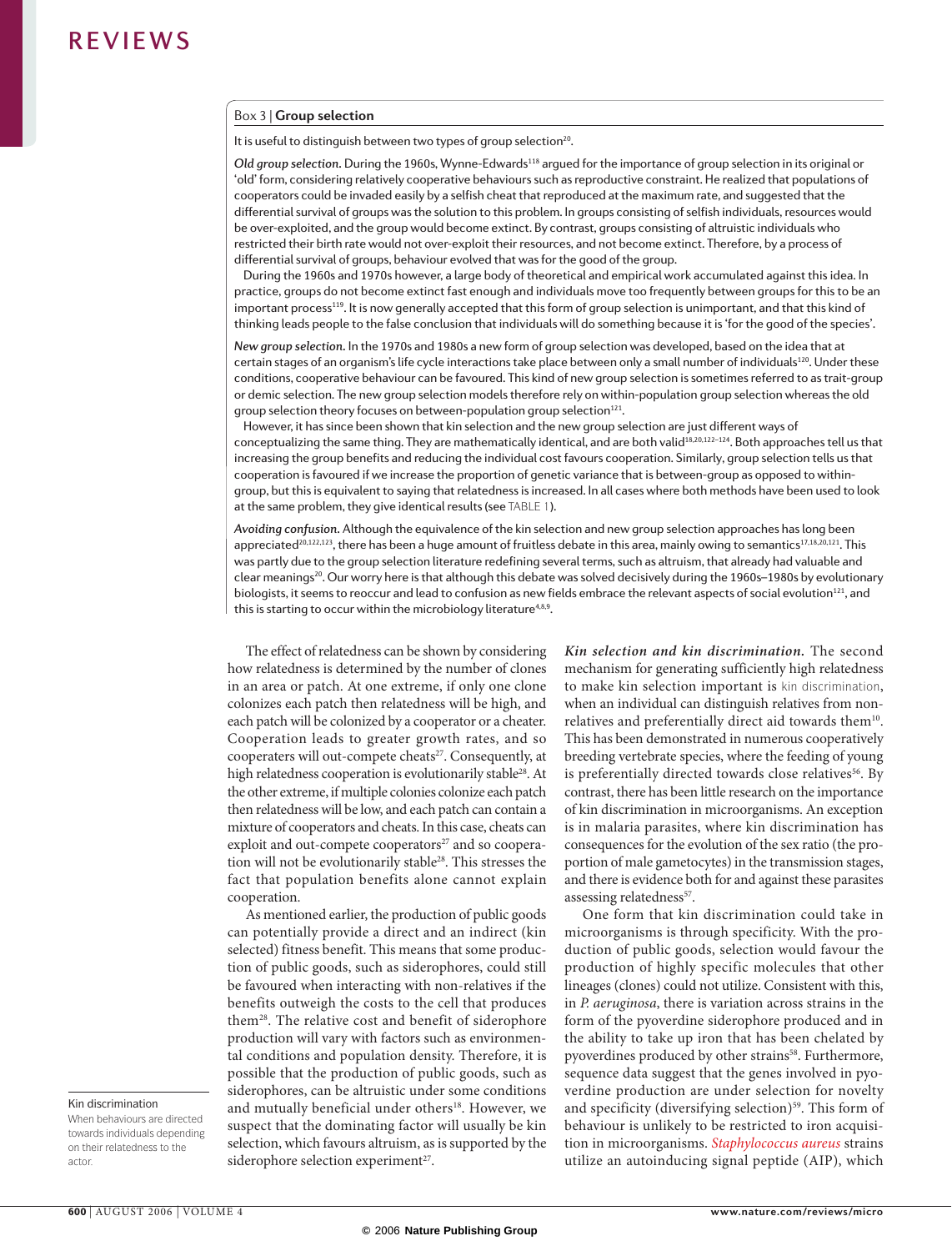### Box 3 | **Group selection**

It is useful to distinguish between two types of group selection<sup>20</sup>.

Old group selection. During the 1960s, Wynne-Edwards<sup>118</sup> argued for the importance of group selection in its original or 'old' form, considering relatively cooperative behaviours such as reproductive constraint. He realized that populations of cooperators could be invaded easily by a selfish cheat that reproduced at the maximum rate, and suggested that the differential survival of groups was the solution to this problem. In groups consisting of selfish individuals, resources would be over-exploited, and the group would become extinct. By contrast, groups consisting of altruistic individuals who restricted their birth rate would not over-exploit their resources, and not become extinct. Therefore, by a process of differential survival of groups, behaviour evolved that was for the good of the group.

During the 1960s and 1970s however, a large body of theoretical and empirical work accumulated against this idea. In practice, groups do not become extinct fast enough and individuals move too frequently between groups for this to be an important process<sup>119</sup>. It is now generally accepted that this form of group selection is unimportant, and that this kind of thinking leads people to the false conclusion that individuals will do something because it is 'for the good of the species'.

New group selection. In the 1970s and 1980s a new form of group selection was developed, based on the idea that at certain stages of an organism's life cycle interactions take place between only a small number of individuals<sup>120</sup>. Under these conditions, cooperative behaviour can be favoured. This kind of new group selection is sometimes referred to as trait-group or demic selection. The new group selection models therefore rely on within-population group selection whereas the old group selection theory focuses on between-population group selection<sup>121</sup>.

However, it has since been shown that kin selection and the new group selection are just different ways of conceptualizing the same thing. They are mathematically identical, and are both valid<sup>18,20,122–124</sup>. Both approaches tell us that increasing the group benefits and reducing the individual cost favours cooperation. Similarly, group selection tells us that cooperation is favoured if we increase the proportion of genetic variance that is between-group as opposed to withingroup, but this is equivalent to saying that relatedness is increased. In all cases where both methods have been used to look at the same problem, they give identical results (see TABLE 1).

Avoiding confusion. Although the equivalence of the kin selection and new group selection approaches has long been appreciated<sup>20,122,123</sup>, there has been a huge amount of fruitless debate in this area, mainly owing to semantics<sup>17,18,20,121</sup>. This was partly due to the group selection literature redefining several terms, such as altruism, that already had valuable and clear meanings<sup>20</sup>. Our worry here is that although this debate was solved decisively during the 1960s-1980s by evolutionary biologists, it seems to reoccur and lead to confusion as new fields embrace the relevant aspects of social evolution<sup>121</sup>, and this is starting to occur within the microbiology literature<sup>4,8,9</sup>.

The effect of relatedness can be shown by considering how relatedness is determined by the number of clones in an area or patch. At one extreme, if only one clone colonizes each patch then relatedness will be high, and each patch will be colonized by a cooperator or a cheater. Cooperation leads to greater growth rates, and so cooperaters will out-compete cheats<sup>27</sup>. Consequently, at high relatedness cooperation is evolutionarily stable<sup>28</sup>. At the other extreme, if multiple colonies colonize each patch then relatedness will be low, and each patch can contain a mixture of cooperators and cheats. In this case, cheats can exploit and out-compete cooperators<sup>27</sup> and so cooperation will not be evolutionarily stable<sup>28</sup>. This stresses the fact that population benefits alone cannot explain cooperation.

As mentioned earlier, the production of public goods can potentially provide a direct and an indirect (kin selected) fitness benefit. This means that some production of public goods, such as siderophores, could still be favoured when interacting with non-relatives if the benefits outweigh the costs to the cell that produces them28. The relative cost and benefit of siderophore production will vary with factors such as environmental conditions and population density. Therefore, it is possible that the production of public goods, such as siderophores, can be altruistic under some conditions and mutually beneficial under others<sup>18</sup>. However, we suspect that the dominating factor will usually be kin selection, which favours altruism, as is supported by the siderophore selection experiment<sup>27</sup>.

*Kin selection and kin discrimination.* The second mechanism for generating sufficiently high relatedness to make kin selection important is kin discrimination, when an individual can distinguish relatives from nonrelatives and preferentially direct aid towards them<sup>10</sup>. This has been demonstrated in numerous cooperatively breeding vertebrate species, where the feeding of young is preferentially directed towards close relatives<sup>56</sup>. By contrast, there has been little research on the importance of kin discrimination in microorganisms. An exception is in malaria parasites, where kin discrimination has consequences for the evolution of the sex ratio (the proportion of male gametocytes) in the transmission stages, and there is evidence both for and against these parasites assessing relatedness<sup>57</sup>.

One form that kin discrimination could take in microorganisms is through specificity. With the production of public goods, selection would favour the production of highly specific molecules that other lineages (clones) could not utilize. Consistent with this, in *P. aeruginosa*, there is variation across strains in the form of the pyoverdine siderophore produced and in the ability to take up iron that has been chelated by pyoverdines produced by other strains<sup>58</sup>. Furthermore, sequence data suggest that the genes involved in pyoverdine production are under selection for novelty and specificity (diversifying selection) $59$ . This form of behaviour is unlikely to be restricted to iron acquisition in microorganisms. *Staphylococcus aureus* strains utilize an autoinducing signal peptide (AIP), which

### Kin discrimination

When behaviours are directed towards individuals depending on their relatedness to the actor.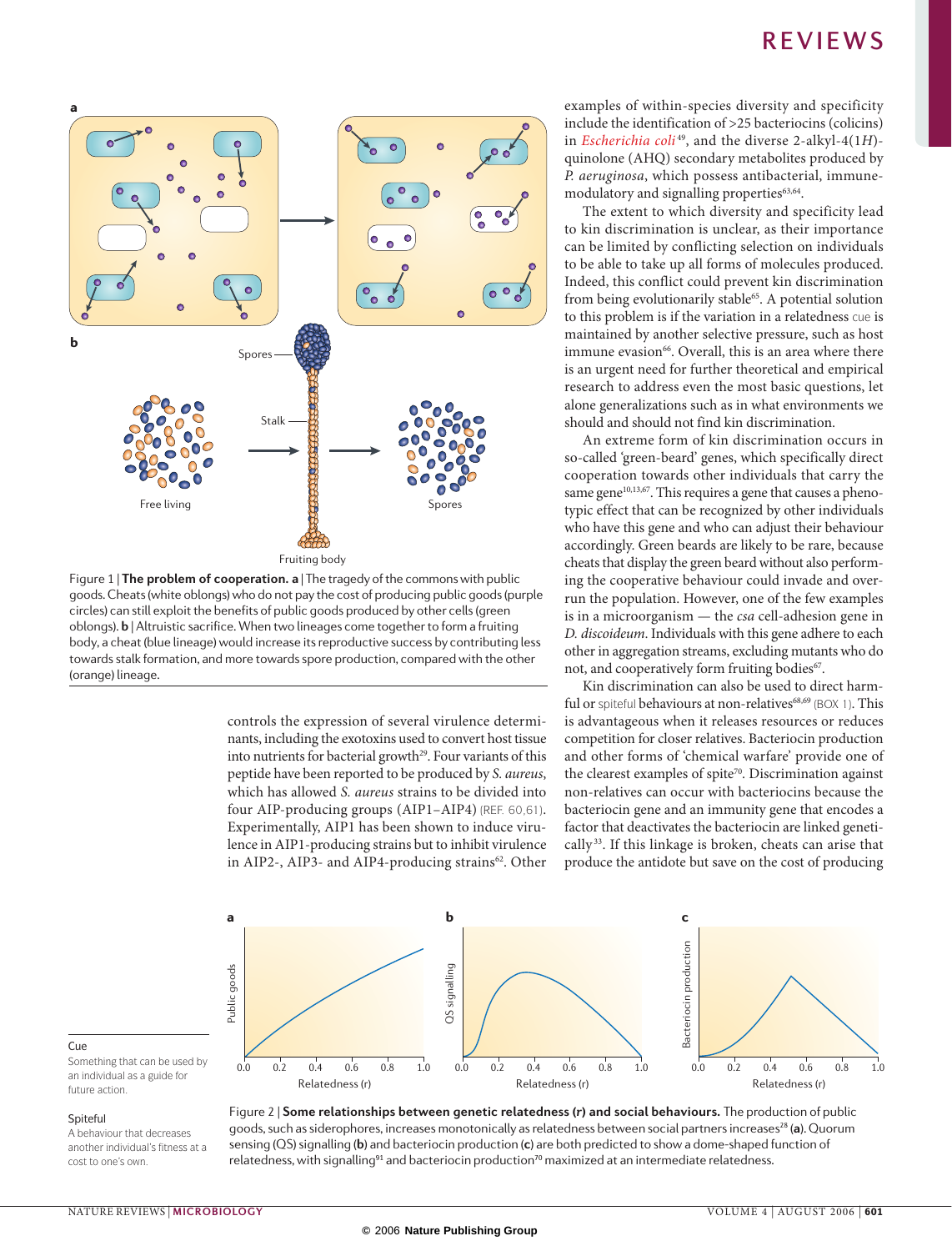

Figure 1 | **The problem of cooperation. a** | The tragedy of the commons with public goods. Cheats (white oblongs) who do not pay the cost of producing public goods (purple circles) can still exploit the benefits of public goods produced by other cells (green oblongs). **b** | Altruistic sacrifice. When two lineages come together to form a fruiting body, a cheat (blue lineage) would increase its reproductive success by contributing less towards stalk formation, and more towards spore production, compared with the other (orange) lineage.

controls the expression of several virulence determinants, including the exotoxins used to convert host tissue into nutrients for bacterial growth<sup>29</sup>. Four variants of this peptide have been reported to be produced by *S. aureus*, which has allowed *S. aureus* strains to be divided into four AIP-producing groups (AIP1–AIP4) (REF. 60,61). Experimentally, AIP1 has been shown to induce virulence in AIP1-producing strains but to inhibit virulence in AIP2-, AIP3- and AIP4-producing strains<sup>62</sup>. Other examples of within-species diversity and specificity include the identification of >25 bacteriocins (colicins) in *Escherichia coli* 49, and the diverse 2-alkyl-4(1*H*) quinolone (AHQ) secondary metabolites produced by *P. aeruginosa*, which possess antibacterial, immunemodulatory and signalling properties<sup>63,64</sup>.

The extent to which diversity and specificity lead to kin discrimination is unclear, as their importance can be limited by conflicting selection on individuals to be able to take up all forms of molecules produced. Indeed, this conflict could prevent kin discrimination from being evolutionarily stable<sup>65</sup>. A potential solution to this problem is if the variation in a relatedness cue is maintained by another selective pressure, such as host immune evasion<sup>66</sup>. Overall, this is an area where there is an urgent need for further theoretical and empirical research to address even the most basic questions, let alone generalizations such as in what environments we should and should not find kin discrimination.

An extreme form of kin discrimination occurs in so-called 'green-beard' genes, which specifically direct cooperation towards other individuals that carry the same gene<sup>10,13,67</sup>. This requires a gene that causes a phenotypic effect that can be recognized by other individuals who have this gene and who can adjust their behaviour accordingly. Green beards are likely to be rare, because cheats that display the green beard without also performing the cooperative behaviour could invade and overrun the population. However, one of the few examples is in a microorganism — the *csa* cell-adhesion gene in *D. discoideum*. Individuals with this gene adhere to each other in aggregation streams, excluding mutants who do not, and cooperatively form fruiting bodies<sup>67</sup>.

Kin discrimination can also be used to direct harmful or spiteful behaviours at non-relatives<sup>68,69</sup> (BOX 1). This is advantageous when it releases resources or reduces competition for closer relatives. Bacteriocin production and other forms of 'chemical warfare' provide one of the clearest examples of spite<sup>70</sup>. Discrimination against non-relatives can occur with bacteriocins because the bacteriocin gene and an immunity gene that encodes a factor that deactivates the bacteriocin are linked genetically 33. If this linkage is broken, cheats can arise that produce the antidote but save on the cost of producing

Cue

Something that can be used by an individual as a guide for future action.

#### **Spiteful**

A behaviour that decreases another individual's fitness at a cost to one's own.





 $\mathbf a$  by the contract of  $\mathbf b$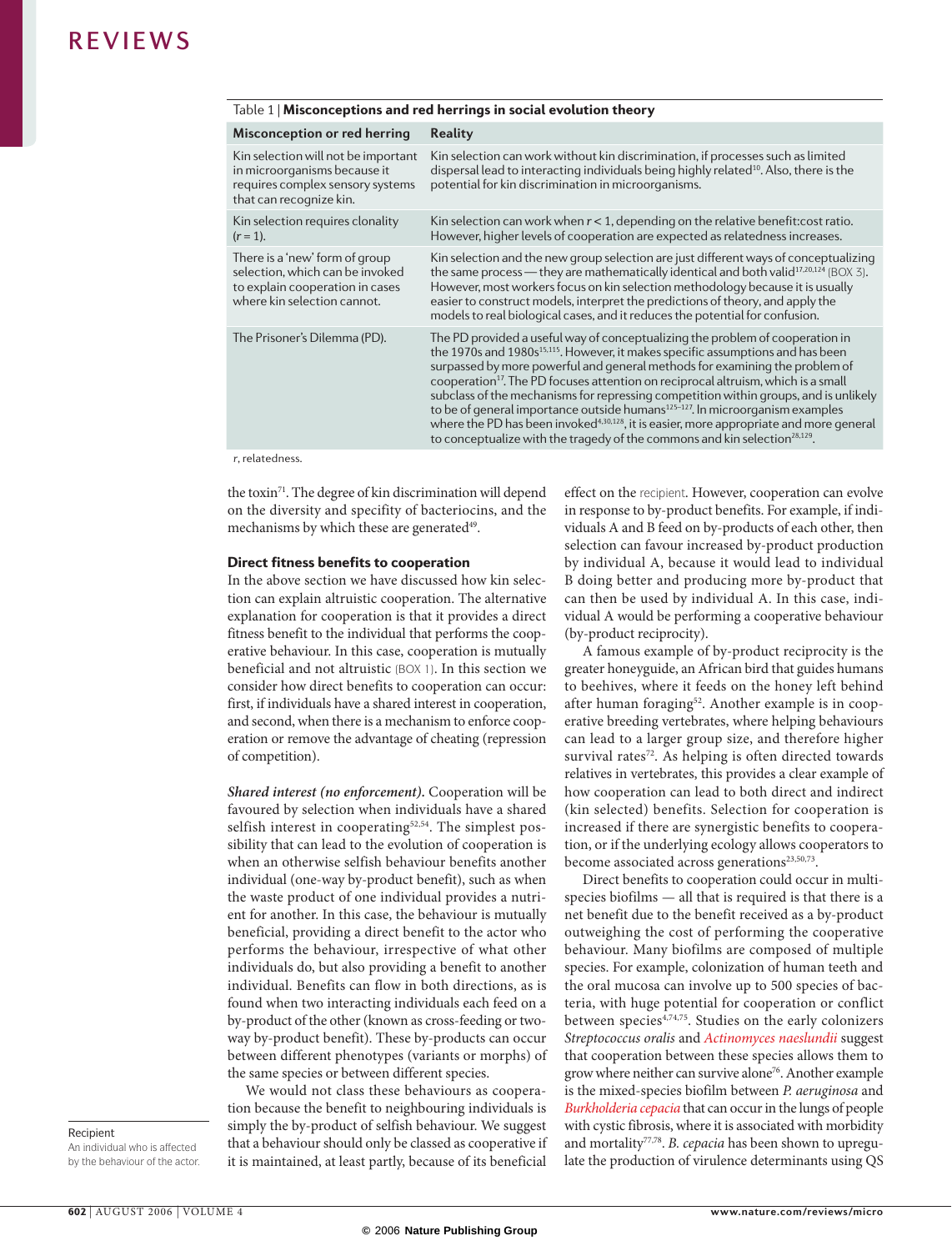### Table 1 | Misconceptions and red herrings in social evolution theory

| Misconception or red herring                                                                                                        | Reality                                                                                                                                                                                                                                                                                                                                                                                                                                                                                                                                                                                                                                                                                                                                            |
|-------------------------------------------------------------------------------------------------------------------------------------|----------------------------------------------------------------------------------------------------------------------------------------------------------------------------------------------------------------------------------------------------------------------------------------------------------------------------------------------------------------------------------------------------------------------------------------------------------------------------------------------------------------------------------------------------------------------------------------------------------------------------------------------------------------------------------------------------------------------------------------------------|
| Kin selection will not be important<br>in microorganisms because it<br>requires complex sensory systems<br>that can recognize kin.  | Kin selection can work without kin discrimination, if processes such as limited<br>dispersal lead to interacting individuals being highly related <sup>10</sup> . Also, there is the<br>potential for kin discrimination in microorganisms.                                                                                                                                                                                                                                                                                                                                                                                                                                                                                                        |
| Kin selection requires clonality<br>$(r = 1)$ .                                                                                     | Kin selection can work when $r < 1$ , depending on the relative benefit: cost ratio.<br>However, higher levels of cooperation are expected as relatedness increases.                                                                                                                                                                                                                                                                                                                                                                                                                                                                                                                                                                               |
| There is a 'new' form of group<br>selection, which can be invoked<br>to explain cooperation in cases<br>where kin selection cannot. | Kin selection and the new group selection are just different ways of conceptualizing<br>the same process - they are mathematically identical and both valid $17,20,124$ (BOX 3).<br>However, most workers focus on kin selection methodology because it is usually<br>easier to construct models, interpret the predictions of theory, and apply the<br>models to real biological cases, and it reduces the potential for confusion.                                                                                                                                                                                                                                                                                                               |
| The Prisoner's Dilemma (PD).                                                                                                        | The PD provided a useful way of conceptualizing the problem of cooperation in<br>the 1970s and 1980s <sup>15,115</sup> . However, it makes specific assumptions and has been<br>surpassed by more powerful and general methods for examining the problem of<br>cooperation <sup>17</sup> . The PD focuses attention on reciprocal altruism, which is a small<br>subclass of the mechanisms for repressing competition within groups, and is unlikely<br>to be of general importance outside humans <sup>125-127</sup> . In microorganism examples<br>where the PD has been invoked <sup>4,30,128</sup> , it is easier, more appropriate and more general<br>to conceptualize with the tragedy of the commons and kin selection <sup>28,129</sup> . |

r, relatedness.

the toxin<sup>71</sup>. The degree of kin discrimination will depend on the diversity and specifity of bacteriocins, and the mechanisms by which these are generated<sup>49</sup>.

### Direct fitness benefits to cooperation

In the above section we have discussed how kin selection can explain altruistic cooperation. The alternative explanation for cooperation is that it provides a direct fitness benefit to the individual that performs the cooperative behaviour. In this case, cooperation is mutually beneficial and not altruistic (BOX 1). In this section we consider how direct benefits to cooperation can occur: first, if individuals have a shared interest in cooperation, and second, when there is a mechanism to enforce cooperation or remove the advantage of cheating (repression of competition).

*Shared interest (no enforcement).* Cooperation will be favoured by selection when individuals have a shared selfish interest in cooperating<sup>52,54</sup>. The simplest possibility that can lead to the evolution of cooperation is when an otherwise selfish behaviour benefits another individual (one-way by-product benefit), such as when the waste product of one individual provides a nutrient for another. In this case, the behaviour is mutually beneficial, providing a direct benefit to the actor who performs the behaviour, irrespective of what other individuals do, but also providing a benefit to another individual. Benefits can flow in both directions, as is found when two interacting individuals each feed on a by-product of the other (known as cross-feeding or twoway by-product benefit). These by-products can occur between different phenotypes (variants or morphs) of the same species or between different species.

We would not class these behaviours as cooperation because the benefit to neighbouring individuals is simply the by-product of selfish behaviour. We suggest that a behaviour should only be classed as cooperative if it is maintained, at least partly, because of its beneficial effect on the recipient. However, cooperation can evolve in response to by-product benefits. For example, if individuals A and B feed on by-products of each other, then selection can favour increased by-product production by individual A, because it would lead to individual B doing better and producing more by-product that can then be used by individual A. In this case, individual A would be performing a cooperative behaviour (by-product reciprocity).

A famous example of by-product reciprocity is the greater honeyguide, an African bird that guides humans to beehives, where it feeds on the honey left behind after human foraging<sup>52</sup>. Another example is in cooperative breeding vertebrates, where helping behaviours can lead to a larger group size, and therefore higher survival rates<sup>72</sup>. As helping is often directed towards relatives in vertebrates, this provides a clear example of how cooperation can lead to both direct and indirect (kin selected) benefits. Selection for cooperation is increased if there are synergistic benefits to cooperation, or if the underlying ecology allows cooperators to become associated across generations<sup>23,50,73</sup>.

Direct benefits to cooperation could occur in multispecies biofilms — all that is required is that there is a net benefit due to the benefit received as a by-product outweighing the cost of performing the cooperative behaviour. Many biofilms are composed of multiple species. For example, colonization of human teeth and the oral mucosa can involve up to 500 species of bacteria, with huge potential for cooperation or conflict between species<sup>4,74,75</sup>. Studies on the early colonizers *Streptococcus oralis* and *Actinomyces naeslundii* suggest that cooperation between these species allows them to grow where neither can survive alone<sup>76</sup>. Another example is the mixed-species biofilm between *P. aeruginosa* and *Burkholderia cepacia* that can occur in the lungs of people with cystic fibrosis, where it is associated with morbidity and mortality<sup>77,78</sup>. *B. cepacia* has been shown to upregulate the production of virulence determinants using QS

Recipient An individual who is affected by the behaviour of the actor.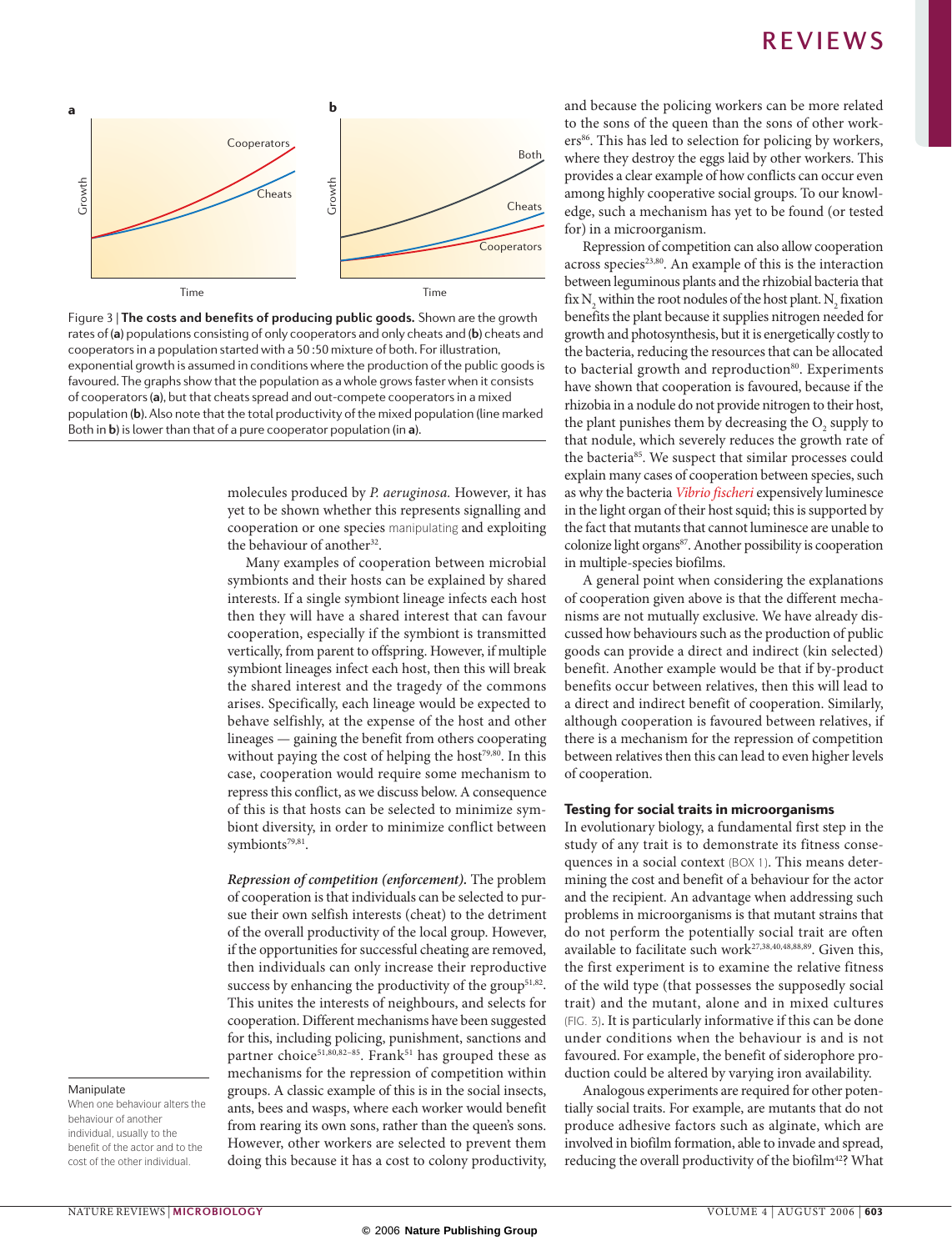

Figure 3 | **The costs and benefits of producing public goods.** Shown are the growth rates of (**a**) populations consisting of only cooperators and only cheats and (**b**) cheats and cooperators in a population started with a 50 :50 mixture of both. For illustration, exponential growth is assumed in conditions where the production of the public goods is favoured. The graphs show that the population as a whole grows faster when it consists of cooperators (**a**), but that cheats spread and out-compete cooperators in a mixed population (**b**). Also note that the total productivity of the mixed population (line marked Both in **b**) is lower than that of a pure cooperator population (in **a**).

molecules produced by *P. aeruginosa.* However, it has yet to be shown whether this represents signalling and cooperation or one species manipulating and exploiting the behaviour of another<sup>32</sup>.

Many examples of cooperation between microbial symbionts and their hosts can be explained by shared interests. If a single symbiont lineage infects each host then they will have a shared interest that can favour cooperation, especially if the symbiont is transmitted vertically, from parent to offspring. However, if multiple symbiont lineages infect each host, then this will break the shared interest and the tragedy of the commons arises. Specifically, each lineage would be expected to behave selfishly, at the expense of the host and other lineages — gaining the benefit from others cooperating without paying the cost of helping the host<sup>79,80</sup>. In this case, cooperation would require some mechanism to repress this conflict, as we discuss below. A consequence of this is that hosts can be selected to minimize symbiont diversity, in order to minimize conflict between symbionts<sup>79,81</sup>.

*Repression of competition (enforcement).* The problem of cooperation is that individuals can be selected to pursue their own selfish interests (cheat) to the detriment of the overall productivity of the local group. However, if the opportunities for successful cheating are removed, then individuals can only increase their reproductive success by enhancing the productivity of the group<sup>51,82</sup>. This unites the interests of neighbours, and selects for cooperation. Different mechanisms have been suggested for this, including policing, punishment, sanctions and partner choice<sup>51,80,82-85</sup>. Frank<sup>51</sup> has grouped these as mechanisms for the repression of competition within groups. A classic example of this is in the social insects, ants, bees and wasps, where each worker would benefit from rearing its own sons, rather than the queen's sons. However, other workers are selected to prevent them doing this because it has a cost to colony productivity, and because the policing workers can be more related to the sons of the queen than the sons of other workers<sup>86</sup>. This has led to selection for policing by workers, where they destroy the eggs laid by other workers. This provides a clear example of how conflicts can occur even among highly cooperative social groups. To our knowledge, such a mechanism has yet to be found (or tested for) in a microorganism.

Repression of competition can also allow cooperation across species<sup>23,80</sup>. An example of this is the interaction between leguminous plants and the rhizobial bacteria that fix  $N_2$  within the root nodules of the host plant.  $N_2$  fixation benefits the plant because it supplies nitrogen needed for growth and photosynthesis, but it is energetically costly to the bacteria, reducing the resources that can be allocated to bacterial growth and reproduction<sup>80</sup>. Experiments have shown that cooperation is favoured, because if the rhizobia in a nodule do not provide nitrogen to their host, the plant punishes them by decreasing the  $O_2$  supply to that nodule, which severely reduces the growth rate of the bacteria<sup>85</sup>. We suspect that similar processes could explain many cases of cooperation between species, such as why the bacteria *Vibrio fischeri* expensively luminesce in the light organ of their host squid; this is supported by the fact that mutants that cannot luminesce are unable to colonize light organs<sup>87</sup>. Another possibility is cooperation in multiple-species biofilms.

A general point when considering the explanations of cooperation given above is that the different mechanisms are not mutually exclusive. We have already discussed how behaviours such as the production of public goods can provide a direct and indirect (kin selected) benefit. Another example would be that if by-product benefits occur between relatives, then this will lead to a direct and indirect benefit of cooperation. Similarly, although cooperation is favoured between relatives, if there is a mechanism for the repression of competition between relatives then this can lead to even higher levels of cooperation.

### Testing for social traits in microorganisms

In evolutionary biology, a fundamental first step in the study of any trait is to demonstrate its fitness consequences in a social context (BOX 1). This means determining the cost and benefit of a behaviour for the actor and the recipient. An advantage when addressing such problems in microorganisms is that mutant strains that do not perform the potentially social trait are often available to facilitate such work<sup>27,38,40,48,88,89</sup>. Given this, the first experiment is to examine the relative fitness of the wild type (that possesses the supposedly social trait) and the mutant, alone and in mixed cultures (FIG. 3). It is particularly informative if this can be done under conditions when the behaviour is and is not favoured. For example, the benefit of siderophore production could be altered by varying iron availability.

Analogous experiments are required for other potentially social traits. For example, are mutants that do not produce adhesive factors such as alginate, which are involved in biofilm formation, able to invade and spread, reducing the overall productivity of the biofilm<sup>42</sup>? What

### Manipulate

When one behaviour alters the behaviour of another individual, usually to the benefit of the actor and to the cost of the other individual.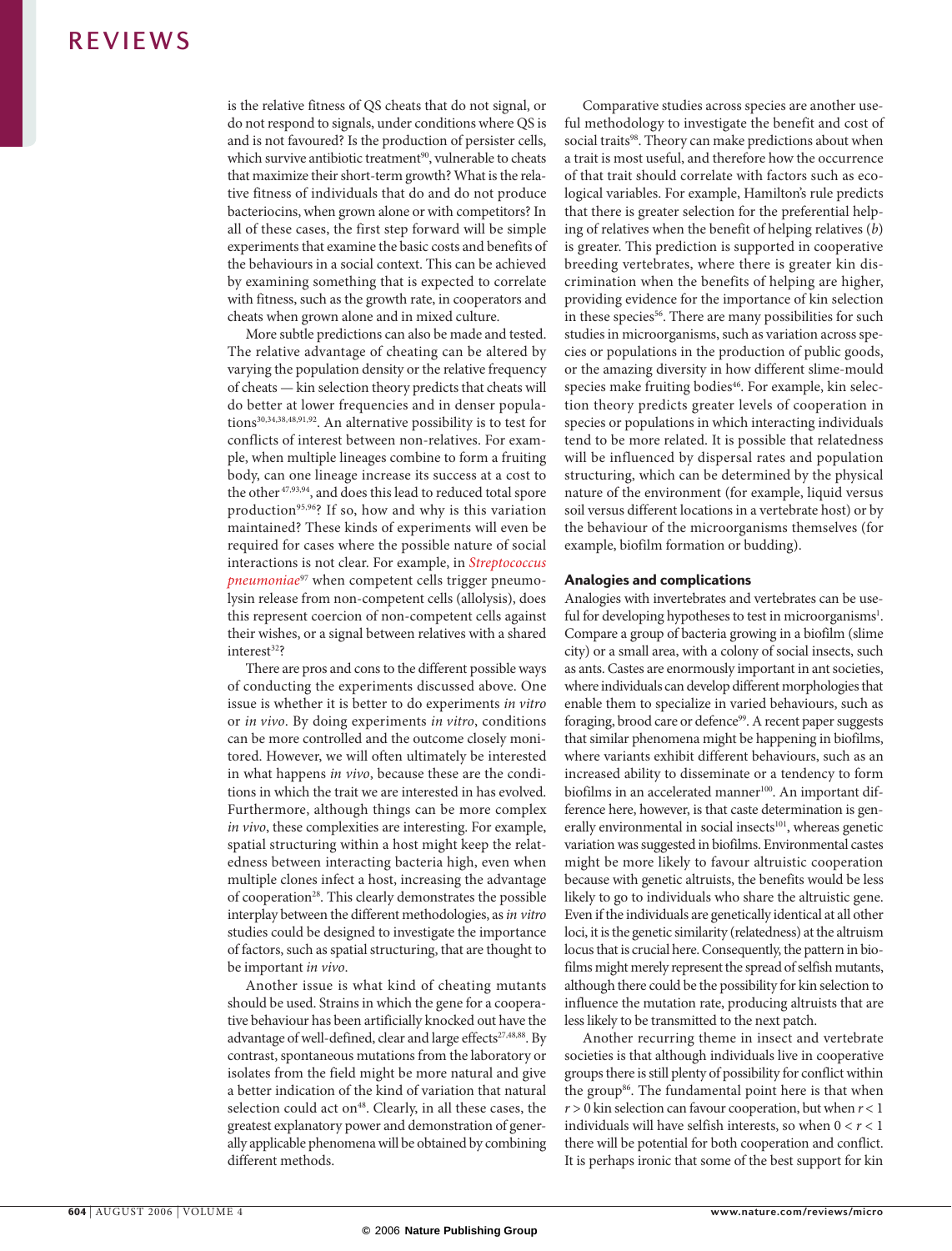is the relative fitness of QS cheats that do not signal, or do not respond to signals, under conditions where QS is and is not favoured? Is the production of persister cells, which survive antibiotic treatment<sup>90</sup>, vulnerable to cheats that maximize their short-term growth? What is the relative fitness of individuals that do and do not produce bacteriocins, when grown alone or with competitors? In all of these cases, the first step forward will be simple experiments that examine the basic costs and benefits of the behaviours in a social context. This can be achieved by examining something that is expected to correlate with fitness, such as the growth rate, in cooperators and cheats when grown alone and in mixed culture.

More subtle predictions can also be made and tested. The relative advantage of cheating can be altered by varying the population density or the relative frequency of cheats — kin selection theory predicts that cheats will do better at lower frequencies and in denser populations<sup>30,34,38,48,91,92</sup>. An alternative possibility is to test for conflicts of interest between non-relatives. For example, when multiple lineages combine to form a fruiting body, can one lineage increase its success at a cost to the other 47,93,94, and does this lead to reduced total spore production<sup>95,96</sup>? If so, how and why is this variation maintained? These kinds of experiments will even be required for cases where the possible nature of social interactions is not clear. For example, in *Streptococcus pneumoniae*97 when competent cells trigger pneumolysin release from non-competent cells (allolysis), does this represent coercion of non-competent cells against their wishes, or a signal between relatives with a shared interest<sup>32</sup>?

There are pros and cons to the different possible ways of conducting the experiments discussed above. One issue is whether it is better to do experiments *in vitro* or *in vivo*. By doing experiments *in vitro*, conditions can be more controlled and the outcome closely monitored. However, we will often ultimately be interested in what happens *in vivo*, because these are the conditions in which the trait we are interested in has evolved. Furthermore, although things can be more complex *in vivo*, these complexities are interesting. For example, spatial structuring within a host might keep the relatedness between interacting bacteria high, even when multiple clones infect a host, increasing the advantage of cooperation<sup>28</sup>. This clearly demonstrates the possible interplay between the different methodologies, as *in vitro* studies could be designed to investigate the importance of factors, such as spatial structuring, that are thought to be important *in vivo*.

Another issue is what kind of cheating mutants should be used. Strains in which the gene for a cooperative behaviour has been artificially knocked out have the advantage of well-defined, clear and large effects<sup>27,48,88</sup>. By contrast, spontaneous mutations from the laboratory or isolates from the field might be more natural and give a better indication of the kind of variation that natural selection could act on<sup>48</sup>. Clearly, in all these cases, the greatest explanatory power and demonstration of generally applicable phenomena will be obtained by combining different methods.

Comparative studies across species are another useful methodology to investigate the benefit and cost of social traits<sup>98</sup>. Theory can make predictions about when a trait is most useful, and therefore how the occurrence of that trait should correlate with factors such as ecological variables. For example, Hamilton's rule predicts that there is greater selection for the preferential helping of relatives when the benefit of helping relatives (*b*) is greater. This prediction is supported in cooperative breeding vertebrates, where there is greater kin discrimination when the benefits of helping are higher, providing evidence for the importance of kin selection in these species<sup>56</sup>. There are many possibilities for such studies in microorganisms, such as variation across species or populations in the production of public goods, or the amazing diversity in how different slime-mould species make fruiting bodies<sup>46</sup>. For example, kin selection theory predicts greater levels of cooperation in species or populations in which interacting individuals tend to be more related. It is possible that relatedness will be influenced by dispersal rates and population structuring, which can be determined by the physical nature of the environment (for example, liquid versus soil versus different locations in a vertebrate host) or by the behaviour of the microorganisms themselves (for example, biofilm formation or budding).

### Analogies and complications

Analogies with invertebrates and vertebrates can be useful for developing hypotheses to test in microorganisms<sup>1</sup>. Compare a group of bacteria growing in a biofilm (slime city) or a small area, with a colony of social insects, such as ants. Castes are enormously important in ant societies, where individuals can develop different morphologies that enable them to specialize in varied behaviours, such as foraging, brood care or defence<sup>99</sup>. A recent paper suggests that similar phenomena might be happening in biofilms, where variants exhibit different behaviours, such as an increased ability to disseminate or a tendency to form biofilms in an accelerated manner<sup>100</sup>. An important difference here, however, is that caste determination is generally environmental in social insects<sup>101</sup>, whereas genetic variation was suggested in biofilms. Environmental castes might be more likely to favour altruistic cooperation because with genetic altruists, the benefits would be less likely to go to individuals who share the altruistic gene. Even if the individuals are genetically identical at all other loci, it is the genetic similarity (relatedness) at the altruism locus that is crucial here. Consequently, the pattern in biofilms might merely represent the spread of selfish mutants, although there could be the possibility for kin selection to influence the mutation rate, producing altruists that are less likely to be transmitted to the next patch.

Another recurring theme in insect and vertebrate societies is that although individuals live in cooperative groups there is still plenty of possibility for conflict within the group<sup>86</sup>. The fundamental point here is that when *r* > 0 kin selection can favour cooperation, but when *r* < 1 individuals will have selfish interests, so when 0 < *r* < 1 there will be potential for both cooperation and conflict. It is perhaps ironic that some of the best support for kin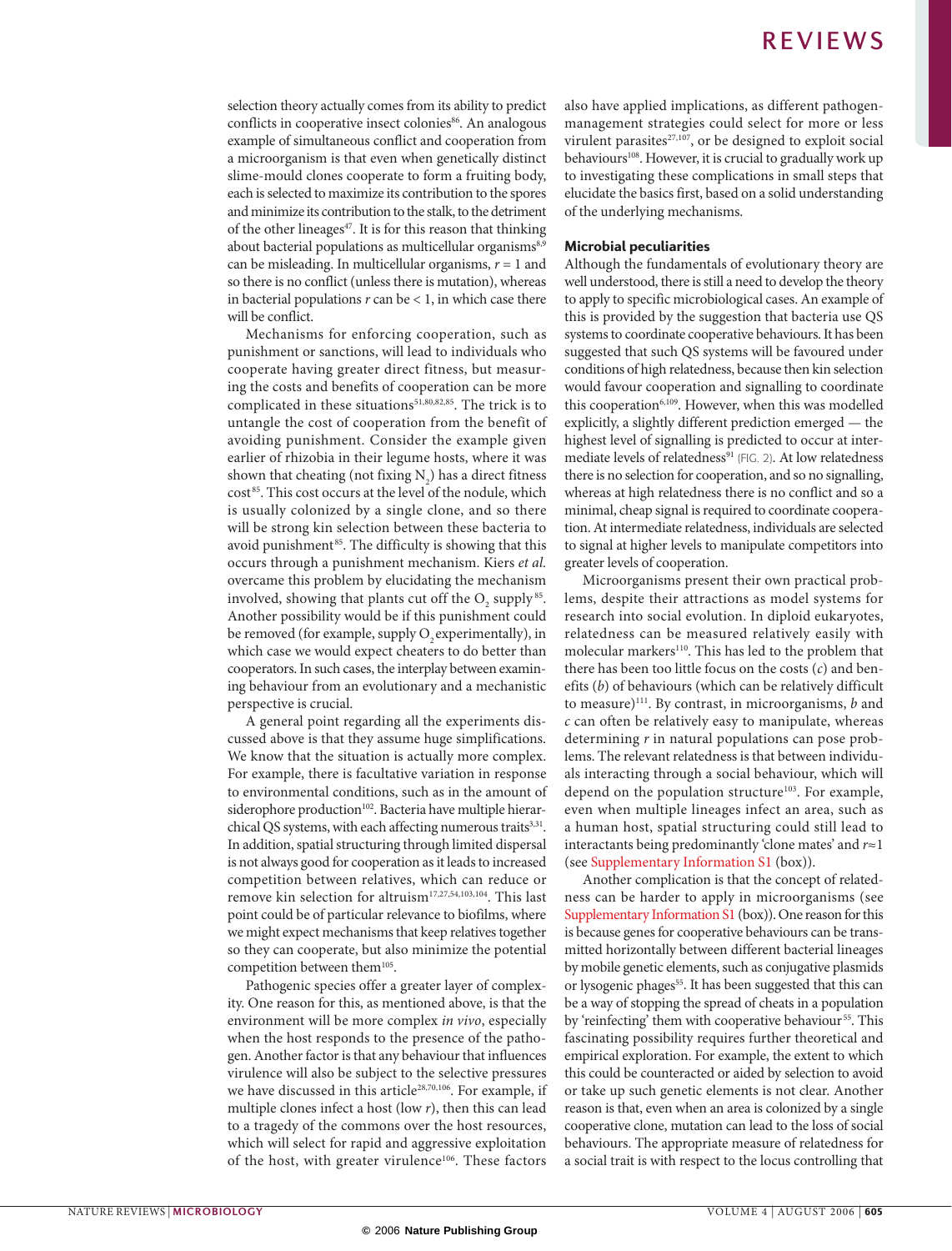selection theory actually comes from its ability to predict conflicts in cooperative insect colonies<sup>86</sup>. An analogous example of simultaneous conflict and cooperation from a microorganism is that even when genetically distinct slime-mould clones cooperate to form a fruiting body, each is selected to maximize its contribution to the spores and minimize its contribution to the stalk, to the detriment of the other lineages<sup> $47$ </sup>. It is for this reason that thinking about bacterial populations as multicellular organisms<sup>8,9</sup> can be misleading. In multicellular organisms,  $r = 1$  and so there is no conflict (unless there is mutation), whereas in bacterial populations  $r$  can be  $\lt 1$ , in which case there will be conflict.

Mechanisms for enforcing cooperation, such as punishment or sanctions, will lead to individuals who cooperate having greater direct fitness, but measuring the costs and benefits of cooperation can be more complicated in these situations<sup>51,80,82,85</sup>. The trick is to untangle the cost of cooperation from the benefit of avoiding punishment. Consider the example given earlier of rhizobia in their legume hosts, where it was shown that cheating (not fixing  $N_2$ ) has a direct fitness cost 85. This cost occurs at the level of the nodule, which is usually colonized by a single clone, and so there will be strong kin selection between these bacteria to avoid punishment<sup>85</sup>. The difficulty is showing that this occurs through a punishment mechanism. Kiers *et al.* overcame this problem by elucidating the mechanism involved, showing that plants cut off the  $O_2$  supply<sup>85</sup>. Another possibility would be if this punishment could be removed (for example, supply O<sub>2</sub> experimentally), in which case we would expect cheaters to do better than cooperators. In such cases, the interplay between examining behaviour from an evolutionary and a mechanistic perspective is crucial.

A general point regarding all the experiments discussed above is that they assume huge simplifications. We know that the situation is actually more complex. For example, there is facultative variation in response to environmental conditions, such as in the amount of siderophore production<sup>102</sup>. Bacteria have multiple hierarchical QS systems, with each affecting numerous traits<sup>3,31</sup>. In addition, spatial structuring through limited dispersal is not always good for cooperation as it leads to increased competition between relatives, which can reduce or remove kin selection for altruism17,27,54,103,104. This last point could be of particular relevance to biofilms, where we might expect mechanisms that keep relatives together so they can cooperate, but also minimize the potential competition between them<sup>105</sup>.

Pathogenic species offer a greater layer of complexity. One reason for this, as mentioned above, is that the environment will be more complex *in vivo*, especially when the host responds to the presence of the pathogen. Another factor is that any behaviour that influences virulence will also be subject to the selective pressures we have discussed in this article<sup>28,70,106</sup>. For example, if multiple clones infect a host (low *r*), then this can lead to a tragedy of the commons over the host resources, which will select for rapid and aggressive exploitation of the host, with greater virulence<sup>106</sup>. These factors also have applied implications, as different pathogenmanagement strategies could select for more or less virulent parasites<sup>27,107</sup>, or be designed to exploit social behaviours<sup>108</sup>. However, it is crucial to gradually work up to investigating these complications in small steps that elucidate the basics first, based on a solid understanding of the underlying mechanisms.

### Microbial peculiarities

Although the fundamentals of evolutionary theory are well understood, there is still a need to develop the theory to apply to specific microbiological cases. An example of this is provided by the suggestion that bacteria use QS systems to coordinate cooperative behaviours. It has been suggested that such QS systems will be favoured under conditions of high relatedness, because then kin selection would favour cooperation and signalling to coordinate this cooperation<sup>6,109</sup>. However, when this was modelled explicitly, a slightly different prediction emerged — the highest level of signalling is predicted to occur at intermediate levels of relatedness<sup>91</sup> (FIG. 2). At low relatedness there is no selection for cooperation, and so no signalling, whereas at high relatedness there is no conflict and so a minimal, cheap signal is required to coordinate cooperation. At intermediate relatedness, individuals are selected to signal at higher levels to manipulate competitors into greater levels of cooperation.

Microorganisms present their own practical problems, despite their attractions as model systems for research into social evolution. In diploid eukaryotes, relatedness can be measured relatively easily with molecular markers<sup>110</sup>. This has led to the problem that there has been too little focus on the costs (*c*) and benefits (*b*) of behaviours (which can be relatively difficult to measure)<sup>111</sup>. By contrast, in microorganisms, *b* and *c* can often be relatively easy to manipulate, whereas determining *r* in natural populations can pose problems. The relevant relatedness is that between individuals interacting through a social behaviour, which will depend on the population structure<sup>103</sup>. For example, even when multiple lineages infect an area, such as a human host, spatial structuring could still lead to interactants being predominantly 'clone mates' and *r*≈1 (see Supplementary Information S1 (box)).

Another complication is that the concept of relatedness can be harder to apply in microorganisms (see Supplementary Information S1 (box)). One reason for this is because genes for cooperative behaviours can be transmitted horizontally between different bacterial lineages by mobile genetic elements, such as conjugative plasmids or lysogenic phages<sup>55</sup>. It has been suggested that this can be a way of stopping the spread of cheats in a population by 'reinfecting' them with cooperative behaviour 55. This fascinating possibility requires further theoretical and empirical exploration. For example, the extent to which this could be counteracted or aided by selection to avoid or take up such genetic elements is not clear. Another reason is that, even when an area is colonized by a single cooperative clone, mutation can lead to the loss of social behaviours. The appropriate measure of relatedness for a social trait is with respect to the locus controlling that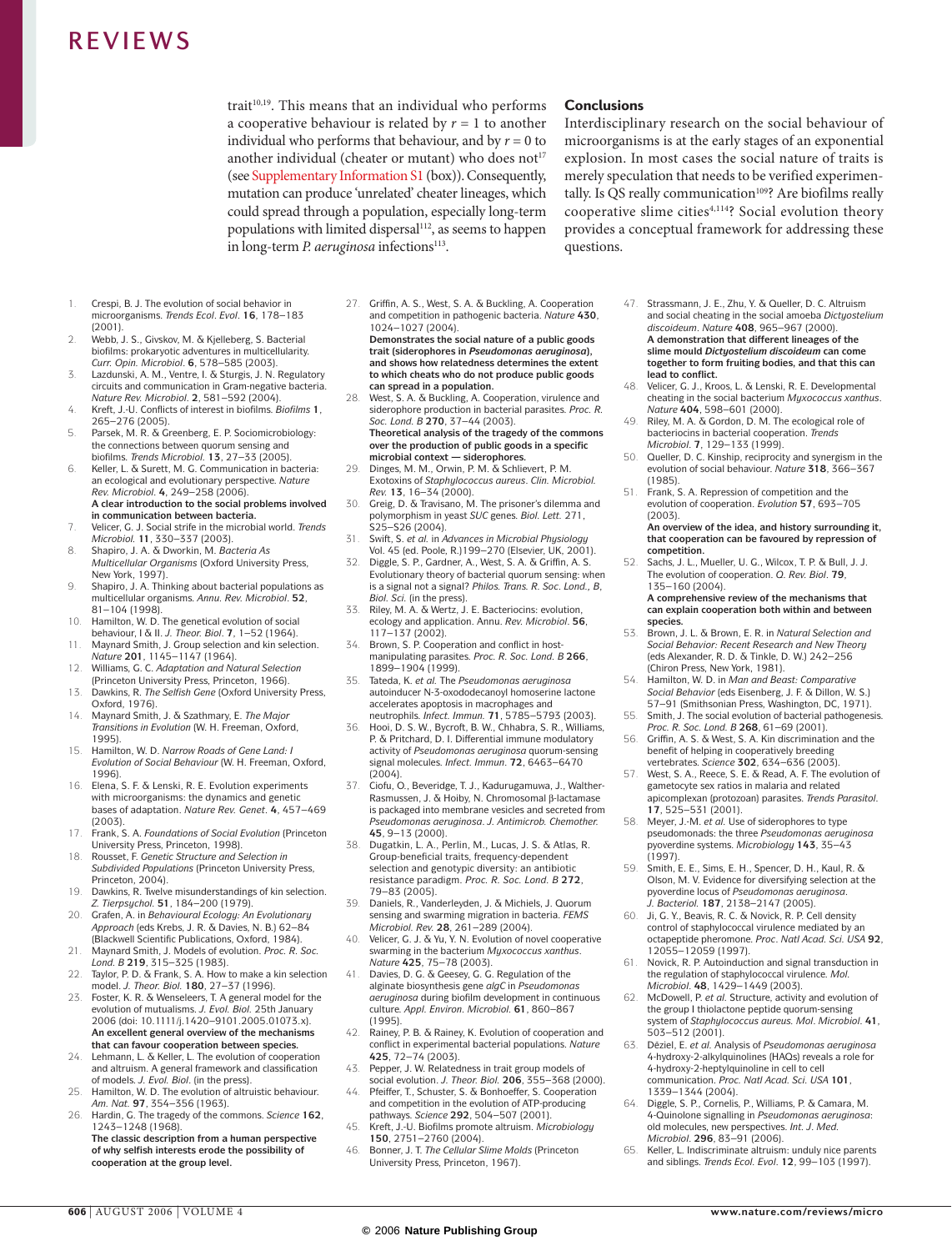trait<sup>10,19</sup>. This means that an individual who performs a cooperative behaviour is related by *r* = 1 to another individual who performs that behaviour, and by  $r = 0$  to another individual (cheater or mutant) who does  $not<sup>17</sup>$ (see Supplementary Information S1 (box)). Consequently, mutation can produce 'unrelated' cheater lineages, which could spread through a population, especially long-term populations with limited dispersal<sup>112</sup>, as seems to happen in long-term *P. aeruginosa* infections<sup>113</sup>.

### **Conclusions**

Interdisciplinary research on the social behaviour of microorganisms is at the early stages of an exponential explosion. In most cases the social nature of traits is merely speculation that needs to be verified experimentally. Is QS really communication<sup>109</sup>? Are biofilms really cooperative slime cities<sup>4,114</sup>? Social evolution theory provides a conceptual framework for addressing these questions.

- Crespi, B. J. The evolution of social behavior in microorganisms. *Trends Ecol*. *Evol*. **16**, 178–183  $(2001)$
- 2. Webb, J. S., Givskov, M. & Kjelleberg, S. Bacterial biofilms: prokaryotic adventures in multicellularity. *Curr. Opin. Microbiol*. **6**, 578–585 (2003).
- Lazdunski, A. M., Ventre, I. & Sturgis, J. N. Regulatory circuits and communication in Gram-negative bacteria. *Nature Rev. Microbiol*. **2**, 581–592 (2004).
- 4. Kreft, J.-U. Conflicts of interest in biofilms. *Biofilms* **1**, 265–276 (2005).
- Parsek, M. R. & Greenberg, E. P. Sociomicrobiology: the connections between quorum sensing and biofilms. *Trends Microbiol.* **13**, 27–33 (2005).
- 6. Keller, L. & Surett, M. G. Communication in bacteria: an ecological and evolutionary perspective. *Nature Rev. Microbiol*. **4**, 249–258 (2006). **A clear introduction to the social problems involved in communication between bacteria.**
- 7. Velicer, G. J. Social strife in the microbial world. *Trends Microbiol.* **11**, 330–337 (2003).
- 8. Shapiro, J. A. & Dworkin, M. *Bacteria As Multicellular Organisms* (Oxford University Press, New York, 1997).
- 9. Shapiro, J. A. Thinking about bacterial populations as multicellular organisms. *Annu. Rev. Microbiol*. **52**, 81–104 (1998).
- 10. Hamilton, W. D. The genetical evolution of social behaviour, I & II. *J. Theor. Biol*. **7**, 1–52 (1964).
- 11. Maynard Smith, J. Group selection and kin selection. *Nature* **201**, 1145–1147 (1964). 12. Williams, G. C. *Adaptation and Natural Selection*
- (Princeton University Press, Princeton, 1966). 13. Dawkins, R. *The Selfish Gene* (Oxford University Press,
- Oxford, 1976). 14. Maynard Smith, J. & Szathmary, E. *The Major Transitions in Evolution* (W. H. Freeman, Oxford, 1995).
- 15. Hamilton, W. D. *Narrow Roads of Gene Land: I Evolution of Social Behaviour* (W. H. Freeman, Oxford, 1996).
- 16. Elena, S. F. & Lenski, R. E. Evolution experiments with microorganisms: the dynamics and genetic bases of adaptation. *Nature Rev. Genet*. **4**, 457–469 (2003).
- 17. Frank, S. A. *Foundations of Social Evolution* (Princeton University Press, Princeton, 1998).
- 18. Rousset, F. *Genetic Structure and Selection in Subdivided Populations* (Princeton University Press, Princeton, 2004).
- 19. Dawkins, R. Twelve misunderstandings of kin selection. *Z. Tierpsychol.* **51**, 184–200 (1979).
- 20. Grafen, A. in *Behavioural Ecology: An Evolutionary Approach* (eds Krebs, J. R. & Davies, N. B.) 62–84 (Blackwell Scientific Publications, Oxford, 1984).
- 21. Maynard Smith, J. Models of evolution. *Proc. R. Soc. Lond. B* **219**, 315–325 (1983).
- 22. Taylor, P. D. & Frank, S. A. How to make a kin selection model. *J. Theor. Biol.* **180**, 27–37 (1996).
- 23. Foster, K. R. & Wenseleers, T. A general model for the evolution of mutualisms. *J. Evol. Biol.* 25th January 2006 (doi: 10.1111/j.1420–9101.2005.01073.x). **An excellent general overview of the mechanisms**
- **that can favour cooperation between species.** 24. Lehmann, L. & Keller, L. The evolution of cooperation and altruism. A general framework and classification of models. *J. Evol. Biol*. (in the press).
- 25. Hamilton, W. D. The evolution of altruistic behaviour. *Am. Nat.* **97**, 354–356 (1963).
- 26. Hardin, G. The tragedy of the commons. *Science* **162**, 1243–1248 (1968).
	- **The classic description from a human perspective of why selfish interests erode the possibility of cooperation at the group level.**

27. Griffin, A. S., West, S. A. & Buckling, A. Cooperation and competition in pathogenic bacteria. *Nature* **430**, 1024–1027 (2004).

**Demonstrates the social nature of a public goods trait (siderophores in** *Pseudomonas aeruginosa***), and shows how relatedness determines the extent to which cheats who do not produce public goods can spread in a population.**

- 28. West, S. A. & Buckling, A. Cooperation, virulence and siderophore production in bacterial parasites. *Proc. R. Soc. Lond. B* **270**, 37–44 (2003). **Theoretical analysis of the tragedy of the commons over the production of public goods in a specific**
- **microbial context siderophores.** 29. Dinges, M. M., Orwin, P. M. & Schlievert, P. M. Exotoxins of *Staphylococcus aureus*. *Clin. Microbiol.*
- *Rev.* **13**, 16–34 (2000). Greig, D. & Travisano, M. The prisoner's dilemma and
- polymorphism in yeast *SUC* genes. *Biol. Lett.* 271, S25–S26 (2004).
- 31. Swift, S. *et al.* in *Advances in Microbial Physiology* Vol. 45 (ed. Poole, R.)199–270 (Elsevier, UK, 2001).
- Diggle, S. P., Gardner, A., West, S. A. & Griffin, A. S. Evolutionary theory of bacterial quorum sensing: when is a signal not a signal? *Philos. Trans. R. Soc*. *Lond., B*, *Biol. Sci.* (in the press). 33. Riley, M. A. & Wertz, J. E. Bacteriocins: evolution,
- ecology and application. Annu. *Rev. Microbiol*. **56**, 117–137 (2002).
- 34. Brown, S. P. Cooperation and conflict in hostmanipulating parasites. *Proc. R. Soc. Lond. B* **266**, 1899–1904 (1999).
- 35. Tateda, K. *et al.* The *Pseudomonas aeruginosa* autoinducer N-3-oxododecanoyl homoserine lactone accelerates apoptosis in macrophages and neutrophils. *Infect. Immun.* **71**, 5785–5793 (2003).
- 36. Hooi, D. S. W., Bycroft, B. W., Chhabra, S. R., Williams, P. & Pritchard, D. I. Differential immune modulatory activity of *Pseudomonas aeruginosa* quorum-sensing signal molecules. *Infect. Immun*. **72**, 6463–6470  $(2004)$
- 37. Ciofu, O., Beveridge, T. J., Kadurugamuwa, J., Walther-Rasmussen, J. & Hoiby, N. Chromosomal β-lactamase is packaged into membrane vesicles and secreted from *Pseudomonas aeruginosa*. *J. Antimicrob. Chemother.*  **45**, 9–13 (2000).
- 38. Dugatkin, L. A., Perlin, M., Lucas, J. S. & Atlas, R. Group-beneficial traits, frequency-dependent selection and genotypic diversity: an antibiotic resistance paradigm. *Proc. R. Soc. Lond. B* **272**, 79–83 (2005).
- 39. Daniels, R., Vanderleyden, J. & Michiels, J. Quorum sensing and swarming migration in bacteria. *FEMS Microbiol. Rev.* **28**, 261–289 (2004).
- 40. Velicer, G. J. & Yu, Y. N. Evolution of novel cooperative swarming in the bacterium *Myxococcus xanthus*. *Nature* **425**, 75–78 (2003).
- 41. Davies, D. G. & Geesey, G. G. Regulation of the alginate biosynthesis gene *algC* in *Pseudomonas aeruginosa* during biofilm development in continuous culture. *Appl. Environ. Microbiol.* **61**, 860–867 (1995).
- 42. Rainey, P. B. & Rainey, K. Evolution of cooperation and conflict in experimental bacterial populations. *Nature* **425**, 72–74 (2003).
- 43. Pepper, J. W. Relatedness in trait group models of social evolution. *J. Theor. Biol.* **206**, 355–368 (2000).
- Pfeiffer, T., Schuster, S. & Bonhoeffer, S. Cooperation and competition in the evolution of ATP-producing pathways. *Science* **292**, 504–507 (2001).
- 45. Kreft, J.-U. Biofilms promote altruism. *Microbiology* **150**, 2751–2760 (2004).
- 46. Bonner, J. T. *The Cellular Slime Molds* (Princeton University Press, Princeton, 1967).
- 47. Strassmann, J. E., Zhu, Y. & Queller, D. C. Altruism and social cheating in the social amoeba *Dictyostelium discoideum*. *Nature* **408**, 965–967 (2000). **A demonstration that different lineages of the slime mould** *Dictyostelium discoideum* **can come together to form fruiting bodies, and that this can lead to conflict.**
- 48. Velicer, G. J., Kroos, L. & Lenski, R. E. Developmental cheating in the social bacterium *Myxococcus xanthus*. *Nature* **404**, 598–601 (2000).
- 49. Riley, M. A. & Gordon, D. M. The ecological role of bacteriocins in bacterial cooperation. *Trends Microbiol*. **7**, 129–133 (1999).
- 50. Queller, D. C. Kinship, reciprocity and synergism in the evolution of social behaviour. *Nature* **318**, 366–367 (1985).
- 51. Frank, S. A. Repression of competition and the evolution of cooperation. *Evolution* **57**, 693–705 (2003). **An overview of the idea, and history surrounding it,**

### **that cooperation can be favoured by repression of competition.**

- 52. Sachs, J. L., Mueller, U. G., Wilcox, T. P. & Bull, J. J. The evolution of cooperation. *Q. Rev. Biol*. **79**, 135–160 (2004). **A comprehensive review of the mechanisms that can explain cooperation both within and between species.**
- 53. Brown, J. L. & Brown, E. R. in *Natural Selection and Social Behavior: Recent Research and New Theory* (eds Alexander, R. D. & Tinkle, D. W.) 242–256 (Chiron Press, New York, 1981).
- 54. Hamilton, W. D. in *Man and Beast: Comparative Social Behavior* (eds Eisenberg, J. F. & Dillon, W. S.) 57–91 (Smithsonian Press, Washington, DC, 1971).
- 55. Smith, J. The social evolution of bacterial pathogenesis. *Proc. R. Soc. Lond. B* **268**, 61–69 (2001).
- 56. Griffin, A. S. & West, S. A. Kin discrimination and the benefit of helping in cooperatively breeding vertebrates. *Science* **302**, 634–636 (2003).
- 57. West, S. A., Reece, S. E. & Read, A. F. The evolution of gametocyte sex ratios in malaria and related apicomplexan (protozoan) parasites. *Trends Parasitol*. **17**, 525–531 (2001).
- 58. Meyer, J.-M. *et al.* Use of siderophores to type pseudomonads: the three *Pseudomonas aeruginosa*  pyoverdine systems. *Microbiology* **143**, 35–43 (1997).
- 59. Smith, E. E., Sims, E. H., Spencer, D. H., Kaul, R. & Olson, M. V. Evidence for diversifying selection at the pyoverdine locus of *Pseudomonas aeruginosa*. *J. Bacteriol.* **187**, 2138–2147 (2005).
- 60. Ji, G. Y., Beavis, R. C. & Novick, R. P. Cell density control of staphylococcal virulence mediated by an octapeptide pheromone. *Proc*. *Natl Acad. Sci. USA* **92**, 12055–12059 (1997).
- 61. Novick, R. P. Autoinduction and signal transduction in the regulation of staphylococcal virulence. *Mol. Microbiol*. **48**, 1429–1449 (2003).
- 62. McDowell, P. *et al.* Structure, activity and evolution of the group I thiolactone peptide quorum-sensing system of *Staphylococcus aureus. Mol*. *Microbiol*. **41**, 503–512 (2001).
- 63. Déziel, E. *et al.* Analysis of *Pseudomonas aeruginosa* 4-hydroxy-2-alkylquinolines (HAQs) reveals a role for 4-hydroxy-2-heptylquinoline in cell to cell communication. *Proc. Natl Acad. Sci. USA* **101**, 1339–1344 (2004).
- 64. Diggle, S. P., Cornelis, P., Williams, P. & Camara, M. 4-Quinolone signalling in *Pseudomonas aeruginosa*: old molecules, new perspectives. *Int. J*. *Med. Microbiol*. **296**, 83–91 (2006).
- 65. Keller, L. Indiscriminate altruism: unduly nice parents and siblings. *Trends Ecol. Evol*. **12**, 99–103 (1997).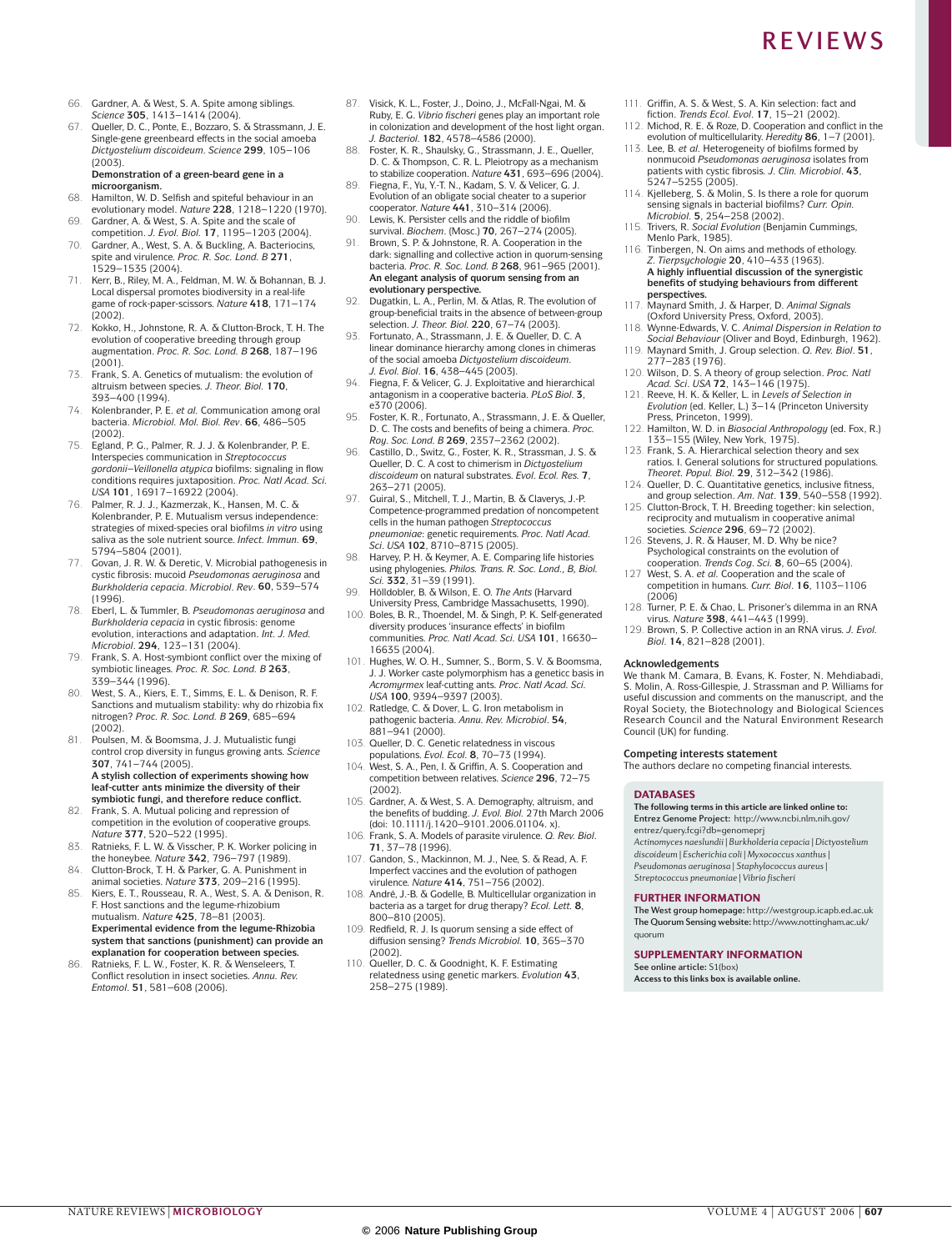- 66. Gardner, A. & West, S. A. Spite among siblings. *Science* **305**, 1413–1414 (2004).
- 67. Queller, D. C., Ponte, E., Bozzaro, S. & Strassmann, J. E. Single-gene greenbeard effects in the social amoeba *Dictyostelium discoideum*. *Science* **299**, 105–106 (2003). **Demonstration of a green-beard gene in a**
- **microorganism.** 68. Hamilton, W. D. Selfish and spiteful behaviour in an evolutionary model. *Nature* **228**, 1218–1220 (1970).
- 69. Gardner, A. & West, S. A. Spite and the scale of competition. *J. Evol. Biol.* **17**, 1195–1203 (2004).
- 70. Gardner, A., West, S. A. & Buckling, A. Bacteriocins, spite and virulence. *Proc. R. Soc. Lond. B* **271**, 1529–1535 (2004).
- 71. Kerr, B., Riley, M. A., Feldman, M. W. & Bohannan, B. J. Local dispersal promotes biodiversity in a real-life game of rock-paper-scissors. *Nature* **418**, 171–174  $(2002)$ .
- 72. Kokko, H., Johnstone, R. A. & Clutton-Brock, T. H. The evolution of cooperative breeding through group augmentation. *Proc. R. Soc. Lond. B* **268**, 187–196 (2001).
- 73. Frank, S. A. Genetics of mutualism: the evolution of altruism between species. *J. Theor. Biol.* **170**, 393–400 (1994).
- 74. Kolenbrander, P. E. *et al.* Communication among oral bacteria. *Microbiol. Mol. Biol. Rev*. **66**, 486–505 (2002).
- 75. Egland, P. G., Palmer, R. J. J. & Kolenbrander, P. E. Interspecies communication in *Streptococcus gordonii–Veillonella atypica* biofilms: signaling in flow conditions requires juxtaposition. *Proc. Natl Acad. Sci. USA* **101**, 16917–16922 (2004).
- 76. Palmer, R. J. J., Kazmerzak, K., Hansen, M. C. & Kolenbrander, P. E. Mutualism versus independence: strategies of mixed-species oral biofilms *in vitro* using saliva as the sole nutrient source. *Infect. Immun.* **69**, 5794–5804 (2001).
- 77. Govan, J. R. W. & Deretic, V. Microbial pathogenesis in cystic fibrosis: mucoid *Pseudomonas aeruginosa* and *Burkholderia cepacia*. *Microbiol*. *Rev*. **60**, 539–574 (1996).
- 78. Eberl, L. & Tummler, B. *Pseudomonas aeruginosa* and *Burkholderia cepacia* in cystic fibrosis: genome evolution, interactions and adaptation. *Int. J. Med. Microbiol*. **294**, 123–131 (2004).
- 79. Frank, S. A. Host-symbiont conflict over the mixing of symbiotic lineages. *Proc. R. Soc. Lond. B* **263**, 339–344 (1996).
- 80. West, S. A., Kiers, E. T., Simms, E. L. & Denison, R. F. Sanctions and mutualism stability: why do rhizobia fix nitrogen? *Proc. R. Soc. Lond. B* **269**, 685–694 (2002).
- 81. Poulsen, M. & Boomsma, J. J. Mutualistic fungi control crop diversity in fungus growing ants. *Science* **307**, 741–744 (2005). **A stylish collection of experiments showing how leaf-cutter ants minimize the diversity of their**
- **symbiotic fungi, and therefore reduce conflict.** 82. Frank, S. A. Mutual policing and repression of competition in the evolution of cooperative groups. *Nature* **377**, 520–522 (1995).
- 83. Ratnieks, F. L. W. & Visscher, P. K. Worker policing in the honeybee. *Nature* **342**, 796–797 (1989).
- 84. Clutton-Brock, T. H. & Parker, G. A. Punishment in animal societies. *Nature* **373**, 209–216 (1995).
- 85. Kiers, E. T., Rousseau, R. A., West, S. A. & Denison, R. F. Host sanctions and the legume-rhizobium mutualism. *Nature* **425**, 78–81 (2003). **Experimental evidence from the legume-Rhizobia system that sanctions (punishment) can provide an explanation for cooperation between species.**
- 86. Ratnieks, F. L. W., Foster, K. R. & Wenseleers, T. Conflict resolution in insect societies. *Annu. Rev. Entomol*. **51**, 581–608 (2006).
- 87. Visick, K. L., Foster, J., Doino, J., McFall-Ngai, M. & Ruby, E. G. *Vibrio fischeri* genes play an important role in colonization and development of the host light organ. *J. Bacteriol*. **182**, 4578–4586 (2000).
- 88. Foster, K. R., Shaulsky, G., Strassmann, J. E., Queller, D. C. & Thompson, C. R. L. Pleiotropy as a mechanism
- to stabilize cooperation. *Nature* **431**, 693–696 (2004). 89. Fiegna, F., Yu, Y.-T. N., Kadam, S. V. & Velicer, G. J. Evolution of an obligate social cheater to a superior cooperator. *Nature* **441**, 310–314 (2006).
- 90. Lewis, K. Persister cells and the riddle of biofilm survival. *Biochem*. (Mosc.) **70**, 267–274 (2005).
- 91. Brown, S. P. & Johnstone, R. A. Cooperation in the dark: signalling and collective action in quorum-sensing bacteria. *Proc. R. Soc. Lond. B* **268**, 961–965 (2001). **An elegant analysis of quorum sensing from an**
- **evolutionary perspective.** 92. Dugatkin, L. A., Perlin, M. & Atlas, R. The evolution of group-beneficial traits in the absence of between-group
- selection. *J. Theor. Biol.* **220**, 67–74 (2003). 93. Fortunato, A., Strassmann, J. E. & Queller, D. C. A linear dominance hierarchy among clones in chimeras of the social amoeba *Dictyostelium discoideum*. *J. Evol. Biol*. **16**, 438–445 (2003).
- 94. Fiegna, F. & Velicer, G. J. Exploitative and hierarchical antagonism in a cooperative bacteria. *PLoS Biol*. **3**, e370 (2006).
- 95. Foster, K. R., Fortunato, A., Strassmann, J. E. & Queller, D. C. The costs and benefits of being a chimera. *Proc. Roy. Soc. Lond. B* **269**, 2357–2362 (2002).
- 96. Castillo, D., Switz, G., Foster, K. R., Strassman, J. S. & Queller, D. C. A cost to chimerism in *Dictyostelium discoideum* on natural substrates. *Evol*. *Ecol. Res.* **7**, 263–271 (2005).
- 97. Guiral, S., Mitchell, T. J., Martin, B. & Claverys, J.-P. Competence-programmed predation of noncompetent cells in the human pathogen *Streptococcus pneumoniae*: genetic requirements. *Proc. Natl Acad. Sci*. *USA* **102**, 8710–8715 (2005).
- Harvey, P. H. & Keymer, A. E. Comparing life histories using phylogenies. *Philos. Trans. R. Soc. Lond., B, Biol. Sci.* **332**, 31–39 (1991).
- 99. Hölldobler, B. & Wilson, E. O. *The Ants* (Harvard University Press, Cambridge Massachusetts, 1990).
- 100. Boles, B. R., Thoendel, M. & Singh, P. K. Self-generated diversity produces 'insurance effects' in biofilm communities. *Proc. Natl Acad. Sci. USA* **101**, 16630– 16635 (2004).
- 101. Hughes, W. O. H., Sumner, S., Borm, S. V. & Boomsma, J. J. Worker caste polymorphism has a geneticc basis in *Acromyrmex* leaf-cutting ants. *Proc*. *Natl Acad. Sci. USA* **100**, 9394–9397 (2003).
- 102. Ratledge, C. & Dover, L. G. Iron metabolism in pathogenic bacteria. *Annu. Rev. Microbiol*. **54**, 881–941 (2000).
- 103. Queller, D. C. Genetic relatedness in viscous populations. *Evol. Ecol.* **8**, 70–73 (1994).
- 104. West, S. A., Pen, I. & Griffin, A. S. Cooperation and competition between relatives. *Science* **296**, 72–75 (2002).
- 105. Gardner, A. & West, S. A. Demography, altruism, and the benefits of budding. *J. Evol. Biol.* 27th March 2006 (doi: 10.1111/j.1420–9101.2006.01104. x).
- 106. Frank, S. A. Models of parasite virulence. *Q. Rev. Biol*. **71**, 37–78 (1996).
- Gandon, S., Mackinnon, M. J., Nee, S. & Read, A. F. Imperfect vaccines and the evolution of pathogen virulence. *Nature* **414**, 751–756 (2002).
- 108. André, J.-B. & Godelle, B. Multicellular organization in bacteria as a target for drug therapy? *Ecol. Lett.* **8**, 800–810 (2005).
- 109. Redfield, R. J. Is quorum sensing a side effect of diffusion sensing? *Trends Microbiol.* **10**, 365–370 (2002).
- Queller, D. C. & Goodnight, K. F. Estimating relatedness using genetic markers. *Evolution* **43**, 258–275 (1989).
- 111. Griffin, A. S. & West, S. A. Kin selection: fact and
- fiction. *Trends Ecol. Evol*. **17**, 15–21 (2002). 112. Michod, R. E. & Roze, D. Cooperation and conflict in the evolution of multicellularity. *Heredity* **86**, 1–7 (2001).
- 113. Lee, B. *et al.* Heterogeneity of biofilms formed by nonmucoid *Pseudomonas aeruginosa* isolates from patients with cystic fibrosis. *J*. *Clin. Microbiol*. **43**, 5247–5255 (2005).
- 114. Kjelleberg, S. & Molin, S. Is there a role for quorum sensing signals in bacterial biofilms? *Curr. Opin.*
- *Microbiol*. **5**, 254–258 (2002). 115. Trivers, R. *Social Evolution* (Benjamin Cummings, Menlo Park, 1985).
- 116. Tinbergen, N. On aims and methods of ethology. *Z*. *Tierpsychologie* **20**, 410–433 (1963). **A highly influential discussion of the synergistic benefits of studying behaviours from different**
- **perspectives.**<br>117. Maynard Smith, J. & Harper, D. *Animal Signals*<br>(Oxford University Press, Oxford, 2003).
- 118. Wynne-Edwards, V. C. *Animal Dispersion in Relation to Social Behaviour* (Oliver and Boyd, Edinburgh, 1962).
- 119. Maynard Smith, J. Group selection. *Q. Rev. Biol*. **51**, 277–283 (1976).
- 120. Wilson, D. S. A theory of group selection. *Proc. Natl Acad. Sci*. *USA* **72**, 143–146 (1975).
- 121. Reeve, H. K. & Keller, L. in *Levels of Selection in Evolution* (ed. Keller, L.) 3–14 (Princeton University Press, Princeton, 1999).
- 122. Hamilton, W. D. in *Biosocial Anthropology* (ed. Fox, R.)
- 133–155 (Wiley, New York, 1975). 123. Frank, S. A. Hierarchical selection theory and sex ratios. I. General solutions for structured populations. *Theoret. Popul. Biol.* **29**, 312–342 (1986). 124. Queller, D. C. Quantitative genetics, inclusive fitness,
- and group selection. *Am. Nat*. **139**, 540–558 (1992).
- 125. Clutton-Brock, T. H. Breeding together: kin selection, reciprocity and mutualism in cooperative animal societies. *Science* **296**, 69–72 (2002).
- 126. Stevens, J. R. & Hauser, M. D. Why be nice? Psychological constraints on the evolution of cooperation. *Trends Cog*. *Sci.* **8**, 60–65 (2004).
- 127 West, S. A. *et al.* Cooperation and the scale of competition in humans. *Curr. Biol*. **16**, 1103–1106 (2006)
- 128. Turner, P. E. & Chao, L. Prisoner's dilemma in an RNA virus. *Nature* **398**, 441–443 (1999).
- 129. Brown, S. P. Collective action in an RNA virus. *J. Evol. Biol*. **14**, 821–828 (2001).

#### **Acknowledgements**

We thank M. Camara, B. Evans, K. Foster, N. Mehdiabadi, S. Molin, A. Ross-Gillespie, J. Strassman and P. Williams for useful discussion and comments on the manuscript, and the Royal Society, the Biotechnology and Biological Sciences Research Council and the Natural Environment Research Council (UK) for funding.

### **Competing interests statement**

The authors declare no competing financial interests.

### **DATABASES**

**The following terms in this article are linked online to:** Entrez Genome Project: http://www.ncbi.nlm.nih.gov/ entrez/query.fcgi?db=genomeprj Actinomyces naeslundii | Burkholderia cepacia | Dictyostelium discoideum | Escherichia coli | Myxococcus xanthus | Pseudomonas aeruginosa | Staphylococcus aureus | Streptococcus pneumoniae | Vibrio fischeri

#### FURTHER INFORMATION

The West group homepage: http://westgroup.icapb.ed.ac.uk The Quorum Sensing website: http://www.nottingham.ac.uk/ quorum

### SUPPLEMENTARY INFORMATION

See online article: S1(box) **Access to this links box is available online.**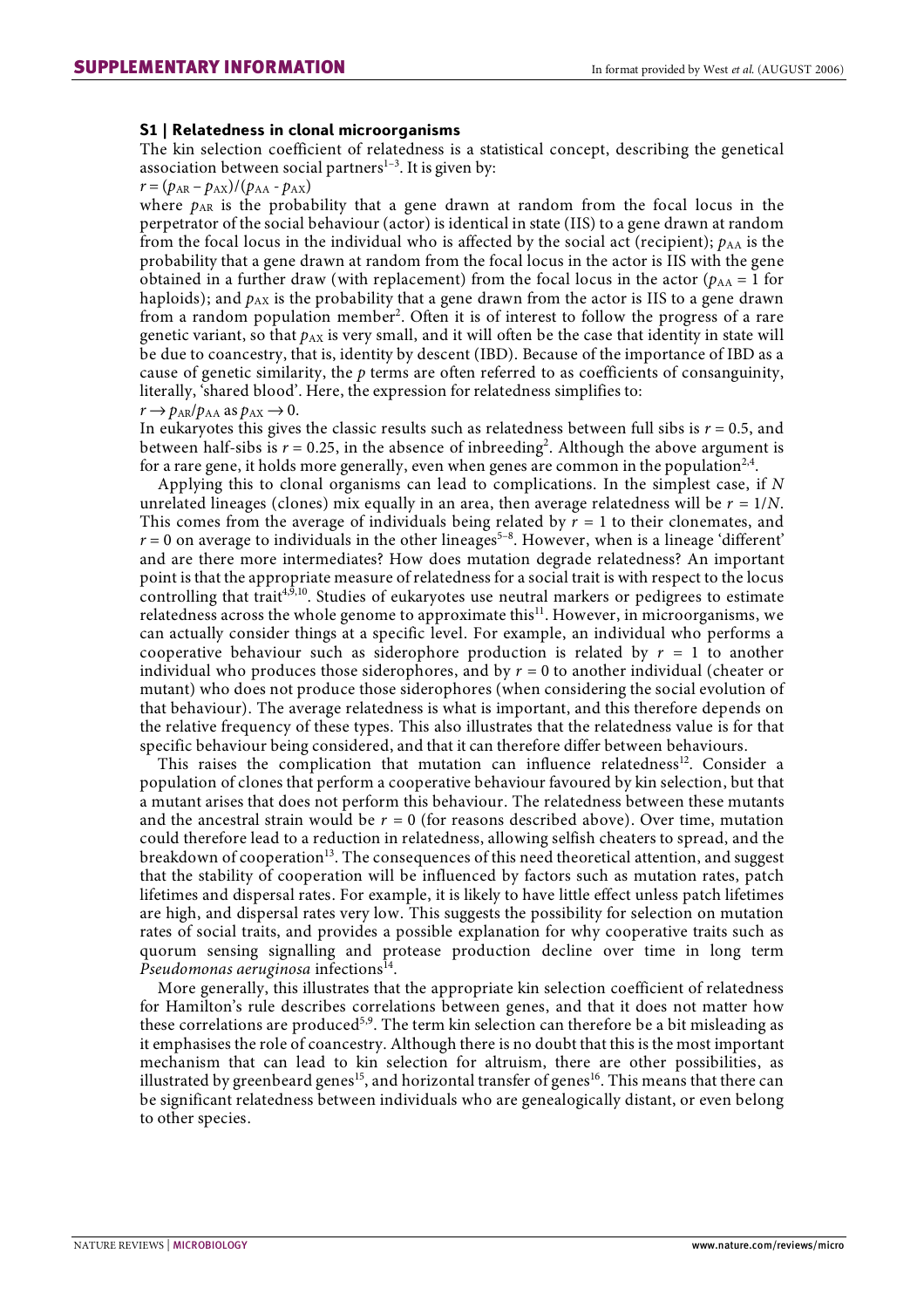### S1 | Relatedness in clonal microorganisms

The kin selection coefficient of relatedness is a statistical concept, describing the genetical association between social partners $1-3$ . It is given by:

 $r = (p_{AR} - p_{AX})/(p_{AA} - p_{AX})$ 

where  $p_{AR}$  is the probability that a gene drawn at random from the focal locus in the perpetrator of the social behaviour (actor) is identical in state (IIS) to a gene drawn at random from the focal locus in the individual who is affected by the social act (recipient);  $p_{AA}$  is the probability that a gene drawn at random from the focal locus in the actor is IIS with the gene obtained in a further draw (with replacement) from the focal locus in the actor ( $p_{AA} = 1$  for haploids); and  $p_{AX}$  is the probability that a gene drawn from the actor is IIS to a gene drawn from a random population member<sup>2</sup>. Often it is of interest to follow the progress of a rare genetic variant, so that  $p_{AX}$  is very small, and it will often be the case that identity in state will be due to coancestry, that is, identity by descent (IBD). Because of the importance of IBD as a cause of genetic similarity, the  $p$  terms are often referred to as coefficients of consanguinity, literally, 'shared blood'. Here, the expression for relatedness simplifies to:

$$
r \rightarrow p_{AR}/p_{AA}
$$
 as  $p_{AX} \rightarrow 0$ .

In eukaryotes this gives the classic results such as relatedness between full sibs is  $r = 0.5$ , and between half-sibs is  $r = 0.25$ , in the absence of inbreeding<sup>2</sup>. Although the above argument is for a rare gene, it holds more generally, even when genes are common in the population<sup>2,4</sup>.

Applying this to clonal organisms can lead to complications. In the simplest case, if  $N$ unrelated lineages (clones) mix equally in an area, then average relatedness will be  $r = 1/N$ . This comes from the average of individuals being related by  $r = 1$  to their clonemates, and  $r = 0$  on average to individuals in the other lineages<sup>5-8</sup>. However, when is a lineage 'different' and are there more intermediates? How does mutation degrade relatedness? An important point is that the appropriate measure of relatedness for a social trait is with respect to the locus controlling that trait $4,9,10$ . Studies of eukaryotes use neutral markers or pedigrees to estimate relatedness across the whole genome to approximate this $^{11}$ . However, in microorganisms, we can actually consider things at a specific level. For example, an individual who performs a cooperative behaviour such as siderophore production is related by  $r = 1$  to another individual who produces those siderophores, and by  $r = 0$  to another individual (cheater or mutant) who does not produce those siderophores (when considering the social evolution of that behaviour). The average relatedness is what is important, and this therefore depends on the relative frequency of these types. This also illustrates that the relatedness value is for that specific behaviour being considered, and that it can therefore differ between behaviours.

This raises the complication that mutation can influence relatedness<sup>12</sup>. Consider a population of clones that perform a cooperative behaviour favoured by kin selection, but that a mutant arises that does not perform this behaviour. The relatedness between these mutants and the ancestral strain would be  $r = 0$  (for reasons described above). Over time, mutation could therefore lead to a reduction in relatedness, allowing selfish cheaters to spread, and the breakdown of cooperation<sup>13</sup>. The consequences of this need theoretical attention, and suggest that the stability of cooperation will be influenced by factors such as mutation rates, patch lifetimes and dispersal rates. For example, it is likely to have little effect unless patch lifetimes are high, and dispersal rates very low. This suggests the possibility for selection on mutation rates of social traits, and provides a possible explanation for why cooperative traits such as quorum sensing signalling and protease production decline over time in long term Pseudomonas aeruginosa infections $^{14}$ .

More generally, this illustrates that the appropriate kin selection coefficient of relatedness for Hamilton's rule describes correlations between genes, and that it does not matter how these correlations are produced<sup>5,9</sup>. The term kin selection can therefore be a bit misleading as it emphasises the role of coancestry. Although there is no doubt that this is the most important mechanism that can lead to kin selection for altruism, there are other possibilities, as illustrated by greenbeard genes<sup>15</sup>, and horizontal transfer of genes<sup>16</sup>. This means that there can be significant relatedness between individuals who are genealogically distant, or even belong to other species.